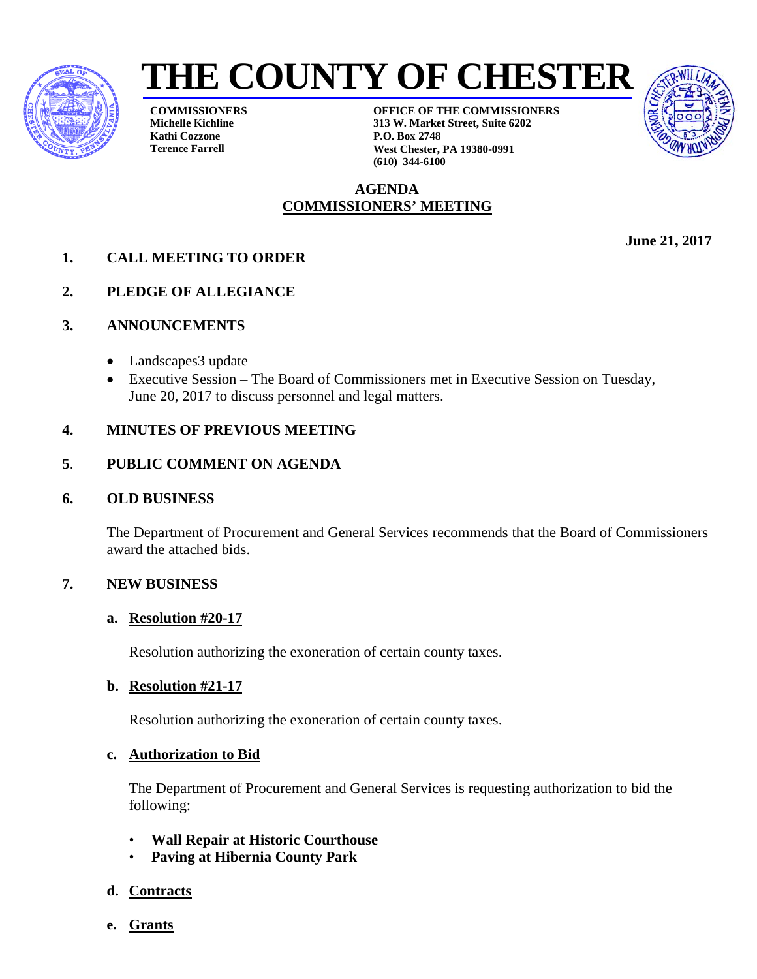



**COMMISSIONERS Michelle Kichline Kathi Cozzone Terence Farrell**

**OFFICE OF THE COMMISSIONERS 313 W. Market Street, Suite 6202 P.O. Box 2748 West Chester, PA 19380-0991 (610) 344-6100**

## **AGENDA COMMISSIONERS' MEETING**

- **1. CALL MEETING TO ORDER**
- **2. PLEDGE OF ALLEGIANCE**
- **3. ANNOUNCEMENTS**
	- Landscapes3 update
	- Executive Session The Board of Commissioners met in Executive Session on Tuesday, June 20, 2017 to discuss personnel and legal matters.

### **4. MINUTES OF PREVIOUS MEETING**

### **5**. **PUBLIC COMMENT ON AGENDA**

#### **6. OLD BUSINESS**

The Department of Procurement and General Services recommends that the Board of Commissioners award the attached bids.

### **7. NEW BUSINESS**

#### **a. Resolution #20-17**

Resolution authorizing the exoneration of certain county taxes.

#### **b. Resolution #21-17**

Resolution authorizing the exoneration of certain county taxes.

#### **c. Authorization to Bid**

The Department of Procurement and General Services is requesting authorization to bid the following:

- **Wall Repair at Historic Courthouse**
- **Paving at Hibernia County Park**

### **d. Contracts**

**e. Grants**

**June 21, 2017**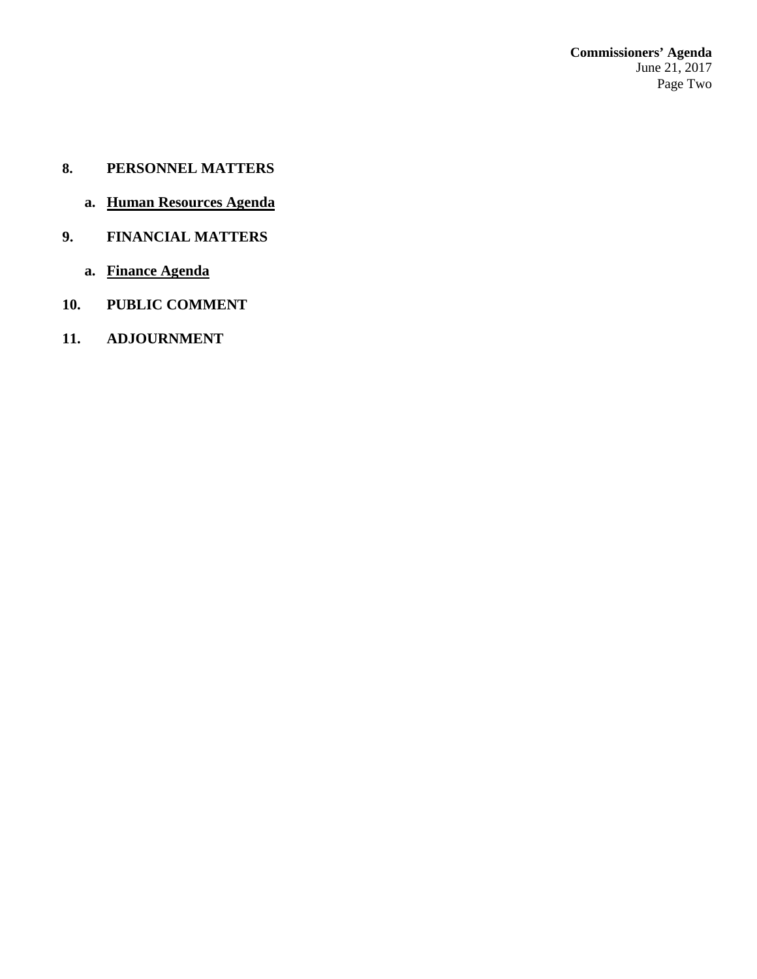- **8. PERSONNEL MATTERS**
	- **a. Human Resources Agenda**
- **9. FINANCIAL MATTERS**
	- **a. Finance Agenda**
- **10. PUBLIC COMMENT**
- **11. ADJOURNMENT**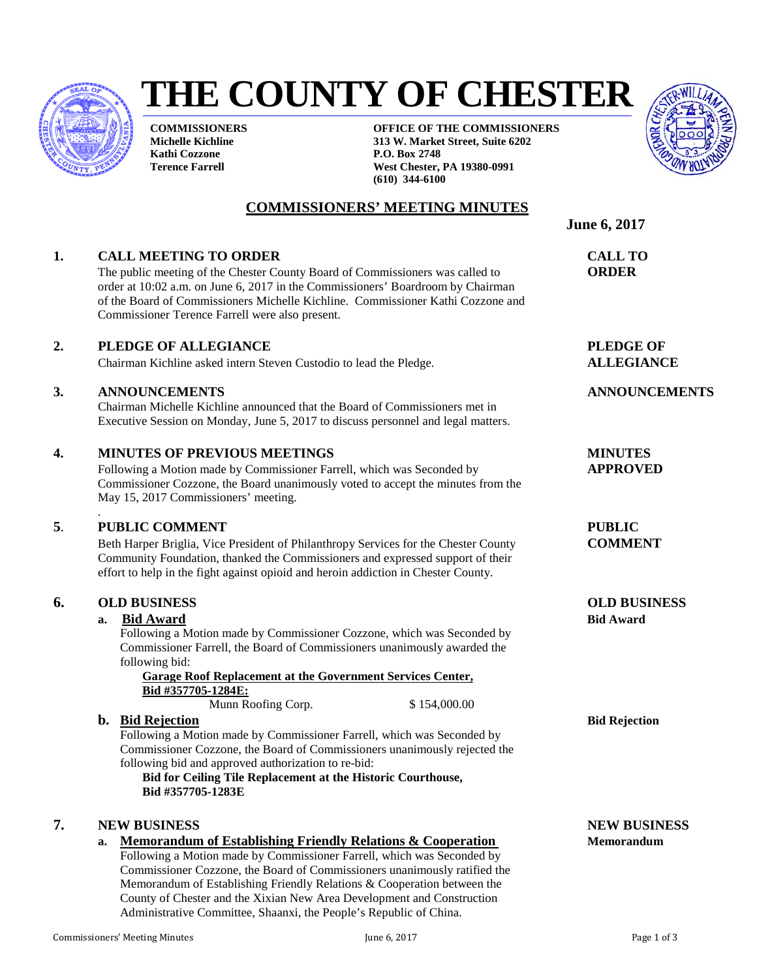

# **THE COUNTY OF CHESTER**

**COMMISSIONERS' MEETING MINUTES**

**COMMISSIONERS Michelle Kichline Kathi Cozzone Terence Farrell**

**OFFICE OF THE COMMISSIONERS 313 W. Market Street, Suite 6202 P.O. Box 2748 West Chester, PA 19380-0991 (610) 344-6100**



**June 6, 2017**

### **1. CALL MEETING TO ORDER CALL TO**

The public meeting of the Chester County Board of Commissioners was called to **ORDER** order at 10:02 a.m. on June 6, 2017 in the Commissioners' Boardroom by Chairman of the Board of Commissioners Michelle Kichline. Commissioner Kathi Cozzone and Commissioner Terence Farrell were also present.

#### **2. PLEDGE OF ALLEGIANCE PLEDGE OF**

Chairman Kichline asked intern Steven Custodio to lead the Pledge. **ALLEGIANCE**

#### **3. ANNOUNCEMENTS ANNOUNCEMENTS**

Chairman Michelle Kichline announced that the Board of Commissioners met in Executive Session on Monday, June 5, 2017 to discuss personnel and legal matters.

#### **4. MINUTES OF PREVIOUS MEETINGS MINUTES**

Following a Motion made by Commissioner Farrell, which was Seconded by **APPROVED** Commissioner Cozzone, the Board unanimously voted to accept the minutes from the May 15, 2017 Commissioners' meeting.

#### . **5**. **PUBLIC COMMENT PUBLIC**

Beth Harper Briglia, Vice President of Philanthropy Services for the Chester County **COMMENT** Community Foundation, thanked the Commissioners and expressed support of their effort to help in the fight against opioid and heroin addiction in Chester County.

#### **6. OLD BUSINESS OLD BUSINESS**

#### **a. Bid Award Bid Award**

Following a Motion made by Commissioner Cozzone, which was Seconded by Commissioner Farrell, the Board of Commissioners unanimously awarded the following bid:

**Garage Roof Replacement at the Government Services Center, Bid #357705-1284E:**

Munn Roofing Corp.  $$ 154,000.00$ 

#### **b.** Bid Rejection **Bid Rejection Bid Rejection**

Following a Motion made by Commissioner Farrell, which was Seconded by Commissioner Cozzone, the Board of Commissioners unanimously rejected the following bid and approved authorization to re-bid:

**Bid for Ceiling Tile Replacement at the Historic Courthouse, Bid #357705-1283E**

#### **7. NEW BUSINESS NEW BUSINESS**

**a. Memorandum of Establishing Friendly Relations & Cooperation Memorandum**

Following a Motion made by Commissioner Farrell, which was Seconded by Commissioner Cozzone, the Board of Commissioners unanimously ratified the Memorandum of Establishing Friendly Relations & Cooperation between the County of Chester and the Xixian New Area Development and Construction Administrative Committee, Shaanxi, the People's Republic of China.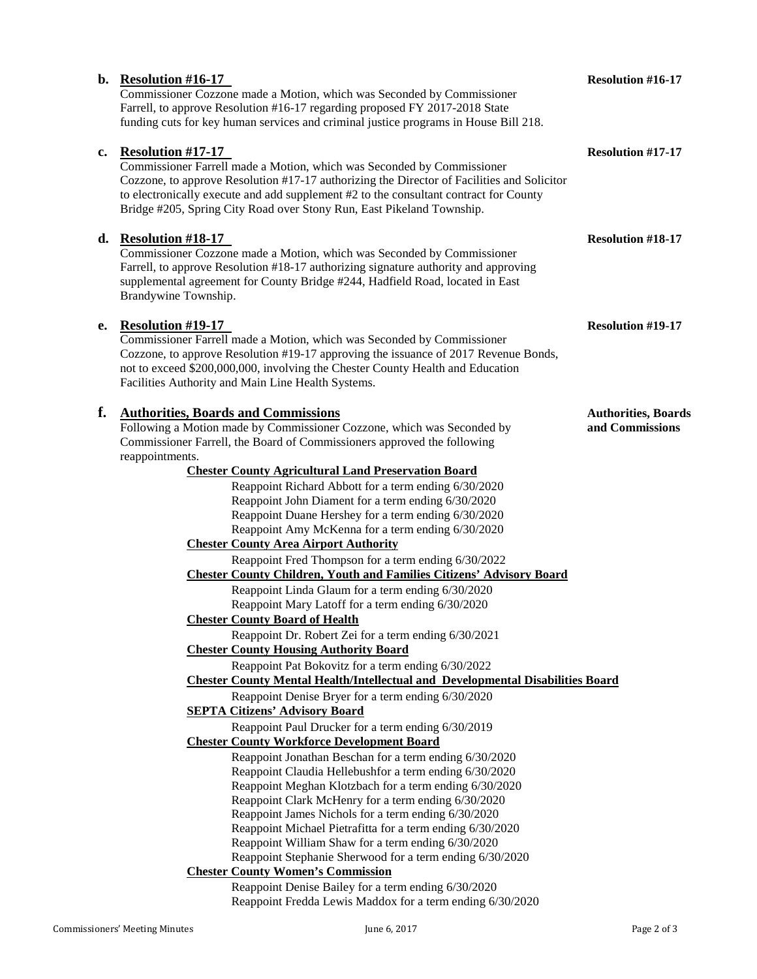|    | b. Resolution $#16-17$<br>Commissioner Cozzone made a Motion, which was Seconded by Commissioner<br>Farrell, to approve Resolution #16-17 regarding proposed FY 2017-2018 State<br>funding cuts for key human services and criminal justice programs in House Bill 218.                                                                                            | <b>Resolution #16-17</b>                       |
|----|--------------------------------------------------------------------------------------------------------------------------------------------------------------------------------------------------------------------------------------------------------------------------------------------------------------------------------------------------------------------|------------------------------------------------|
| c. | <b>Resolution #17-17</b><br>Commissioner Farrell made a Motion, which was Seconded by Commissioner<br>Cozzone, to approve Resolution #17-17 authorizing the Director of Facilities and Solicitor<br>to electronically execute and add supplement #2 to the consultant contract for County<br>Bridge #205, Spring City Road over Stony Run, East Pikeland Township. | <b>Resolution #17-17</b>                       |
|    | d. Resolution $#18-17$<br>Commissioner Cozzone made a Motion, which was Seconded by Commissioner<br>Farrell, to approve Resolution #18-17 authorizing signature authority and approving<br>supplemental agreement for County Bridge #244, Hadfield Road, located in East<br>Brandywine Township.                                                                   | <b>Resolution #18-17</b>                       |
| е. | <b>Resolution #19-17</b><br>Commissioner Farrell made a Motion, which was Seconded by Commissioner<br>Cozzone, to approve Resolution #19-17 approving the issuance of 2017 Revenue Bonds,<br>not to exceed \$200,000,000, involving the Chester County Health and Education<br>Facilities Authority and Main Line Health Systems.                                  | <b>Resolution #19-17</b>                       |
| f. | <b>Authorities, Boards and Commissions</b><br>Following a Motion made by Commissioner Cozzone, which was Seconded by<br>Commissioner Farrell, the Board of Commissioners approved the following<br>reappointments.<br><b>Chester County Agricultural Land Preservation Board</b>                                                                                   | <b>Authorities</b> , Boards<br>and Commissions |
|    | Reappoint Richard Abbott for a term ending 6/30/2020<br>Reappoint John Diament for a term ending 6/30/2020<br>Reappoint Duane Hershey for a term ending 6/30/2020<br>Reappoint Amy McKenna for a term ending 6/30/2020<br><b>Chester County Area Airport Authority</b>                                                                                             |                                                |
|    | Reappoint Fred Thompson for a term ending 6/30/2022<br><b>Chester County Children, Youth and Families Citizens' Advisory Board</b>                                                                                                                                                                                                                                 |                                                |
|    | Reappoint Linda Glaum for a term ending 6/30/2020<br>Reappoint Mary Latoff for a term ending 6/30/2020                                                                                                                                                                                                                                                             |                                                |
|    | <b>Chester County Board of Health</b><br>Reappoint Dr. Robert Zei for a term ending 6/30/2021                                                                                                                                                                                                                                                                      |                                                |
|    | <b>Chester County Housing Authority Board</b>                                                                                                                                                                                                                                                                                                                      |                                                |
|    | Reappoint Pat Bokovitz for a term ending 6/30/2022                                                                                                                                                                                                                                                                                                                 |                                                |
|    | <b>Chester County Mental Health/Intellectual and Developmental Disabilities Board</b>                                                                                                                                                                                                                                                                              |                                                |
|    | Reappoint Denise Bryer for a term ending 6/30/2020<br><b>SEPTA Citizens' Advisory Board</b>                                                                                                                                                                                                                                                                        |                                                |
|    | Reappoint Paul Drucker for a term ending 6/30/2019                                                                                                                                                                                                                                                                                                                 |                                                |
|    | <b>Chester County Workforce Development Board</b><br>Reappoint Jonathan Beschan for a term ending 6/30/2020                                                                                                                                                                                                                                                        |                                                |
|    | Reappoint Claudia Hellebushfor a term ending 6/30/2020                                                                                                                                                                                                                                                                                                             |                                                |
|    | Reappoint Meghan Klotzbach for a term ending 6/30/2020                                                                                                                                                                                                                                                                                                             |                                                |
|    | Reappoint Clark McHenry for a term ending 6/30/2020                                                                                                                                                                                                                                                                                                                |                                                |
|    | Reappoint James Nichols for a term ending 6/30/2020                                                                                                                                                                                                                                                                                                                |                                                |
|    | Reappoint Michael Pietrafitta for a term ending 6/30/2020<br>Reappoint William Shaw for a term ending 6/30/2020                                                                                                                                                                                                                                                    |                                                |
|    | Reappoint Stephanie Sherwood for a term ending 6/30/2020                                                                                                                                                                                                                                                                                                           |                                                |
|    | <b>Chester County Women's Commission</b>                                                                                                                                                                                                                                                                                                                           |                                                |
|    | Reappoint Denise Bailey for a term ending 6/30/2020                                                                                                                                                                                                                                                                                                                |                                                |

Reappoint Fredda Lewis Maddox for a term ending 6/30/2020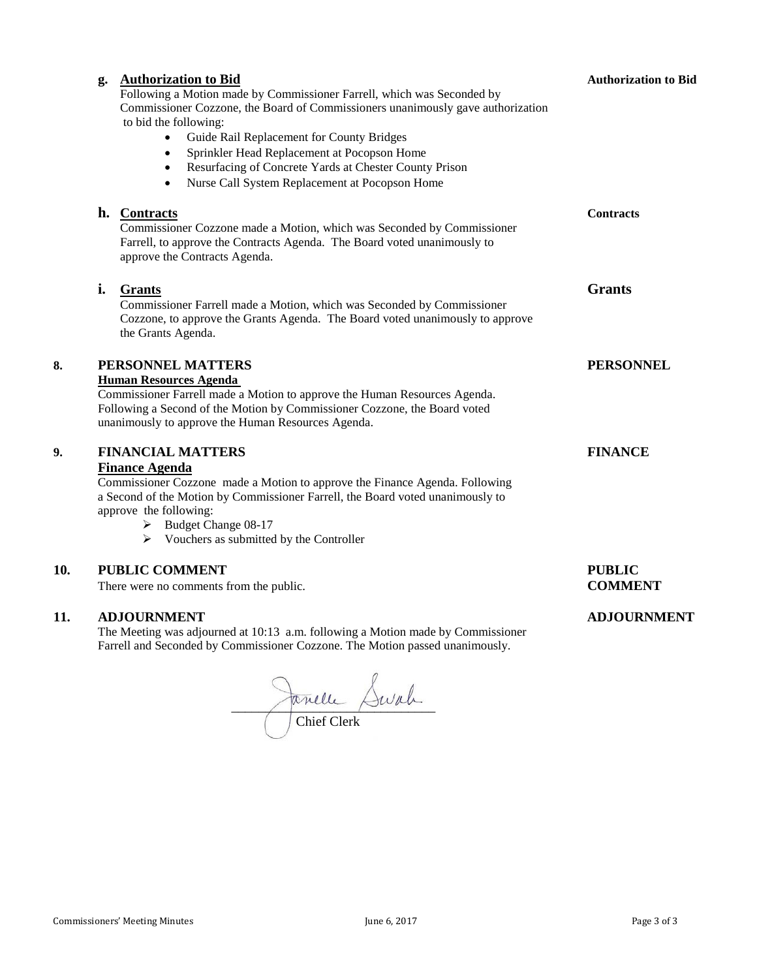|     | g. | <b>Authorization to Bid</b><br>Following a Motion made by Commissioner Farrell, which was Seconded by<br>Commissioner Cozzone, the Board of Commissioners unanimously gave authorization<br>to bid the following:<br>Guide Rail Replacement for County Bridges<br>$\bullet$<br>Sprinkler Head Replacement at Pocopson Home<br>$\bullet$<br>Resurfacing of Concrete Yards at Chester County Prison<br>$\bullet$<br>Nurse Call System Replacement at Pocopson Home<br>$\bullet$ | <b>Authorization to Bid</b>     |
|-----|----|-------------------------------------------------------------------------------------------------------------------------------------------------------------------------------------------------------------------------------------------------------------------------------------------------------------------------------------------------------------------------------------------------------------------------------------------------------------------------------|---------------------------------|
|     |    | h. Contracts<br>Commissioner Cozzone made a Motion, which was Seconded by Commissioner<br>Farrell, to approve the Contracts Agenda. The Board voted unanimously to<br>approve the Contracts Agenda.                                                                                                                                                                                                                                                                           | <b>Contracts</b>                |
|     | i. | <b>Grants</b><br>Commissioner Farrell made a Motion, which was Seconded by Commissioner<br>Cozzone, to approve the Grants Agenda. The Board voted unanimously to approve<br>the Grants Agenda.                                                                                                                                                                                                                                                                                | <b>Grants</b>                   |
| 8.  |    | PERSONNEL MATTERS<br><b>Human Resources Agenda</b><br>Commissioner Farrell made a Motion to approve the Human Resources Agenda.<br>Following a Second of the Motion by Commissioner Cozzone, the Board voted<br>unanimously to approve the Human Resources Agenda.                                                                                                                                                                                                            | <b>PERSONNEL</b>                |
| 9.  |    | <b>FINANCIAL MATTERS</b><br><b>Finance Agenda</b><br>Commissioner Cozzone made a Motion to approve the Finance Agenda. Following<br>a Second of the Motion by Commissioner Farrell, the Board voted unanimously to<br>approve the following:<br>Budget Change 08-17<br>➤<br>Vouchers as submitted by the Controller                                                                                                                                                           | <b>FINANCE</b>                  |
| 10. |    | <b>PUBLIC COMMENT</b><br>There were no comments from the public.                                                                                                                                                                                                                                                                                                                                                                                                              | <b>PUBLIC</b><br><b>COMMENT</b> |
| 11. |    | <b>ADJOURNMENT</b><br>The Meeting was adjourned at 10:13 a.m. following a Motion made by Commissioner                                                                                                                                                                                                                                                                                                                                                                         | <b>ADJOURNMENT</b>              |

 $\sim$   $\sim$   $\sim$ 

Chief Clerk

Farrell and Seconded by Commissioner Cozzone. The Motion passed unanimously.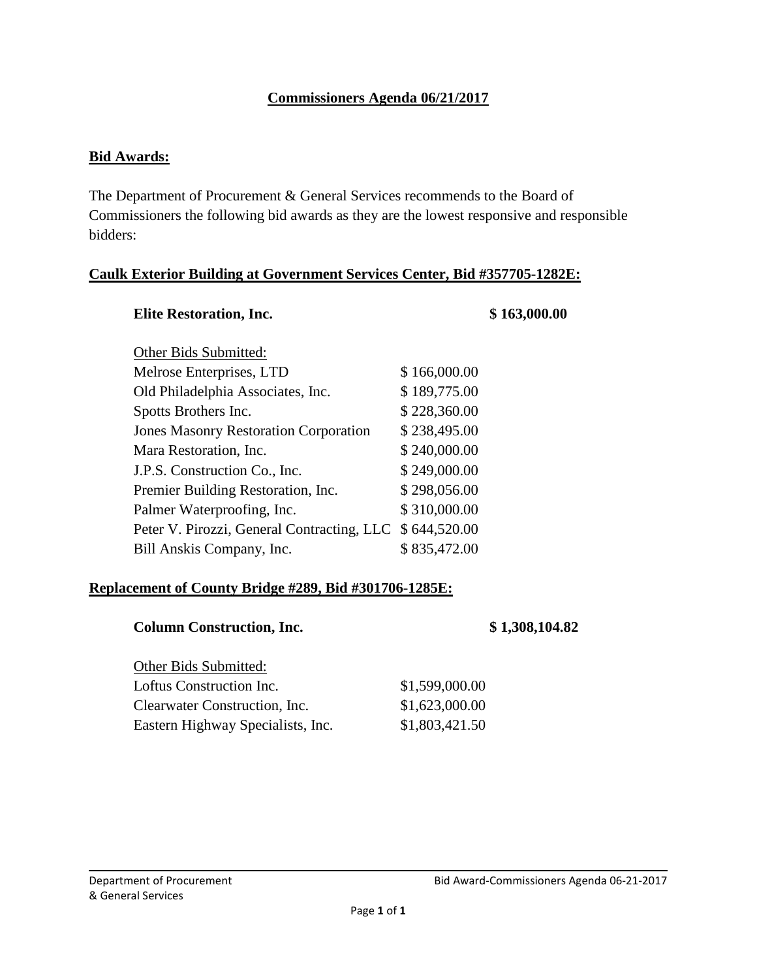# **Commissioners Agenda 06/21/2017**

#### **Bid Awards:**

The Department of Procurement & General Services recommends to the Board of Commissioners the following bid awards as they are the lowest responsive and responsible bidders:

#### **Caulk Exterior Building at Government Services Center, Bid #357705-1282E:**

| <b>Elite Restoration, Inc.</b>               |              | \$163,000.00 |
|----------------------------------------------|--------------|--------------|
| Other Bids Submitted:                        |              |              |
| Melrose Enterprises, LTD                     | \$166,000.00 |              |
| Old Philadelphia Associates, Inc.            | \$189,775.00 |              |
| Spotts Brothers Inc.                         | \$228,360.00 |              |
| <b>Jones Masonry Restoration Corporation</b> | \$238,495.00 |              |
| Mara Restoration, Inc.                       | \$240,000.00 |              |
| J.P.S. Construction Co., Inc.                | \$249,000.00 |              |
| Premier Building Restoration, Inc.           | \$298,056.00 |              |
| Palmer Waterproofing, Inc.                   | \$310,000.00 |              |
| Peter V. Pirozzi, General Contracting, LLC   | \$644,520.00 |              |
| Bill Anskis Company, Inc.                    | \$835,472.00 |              |
|                                              |              |              |

#### **Replacement of County Bridge #289, Bid #301706-1285E:**

#### **Column Construction, Inc. \$ 1,308,104.82**

| \$1,599,000.00 |
|----------------|
| \$1,623,000.00 |
| \$1,803,421.50 |
|                |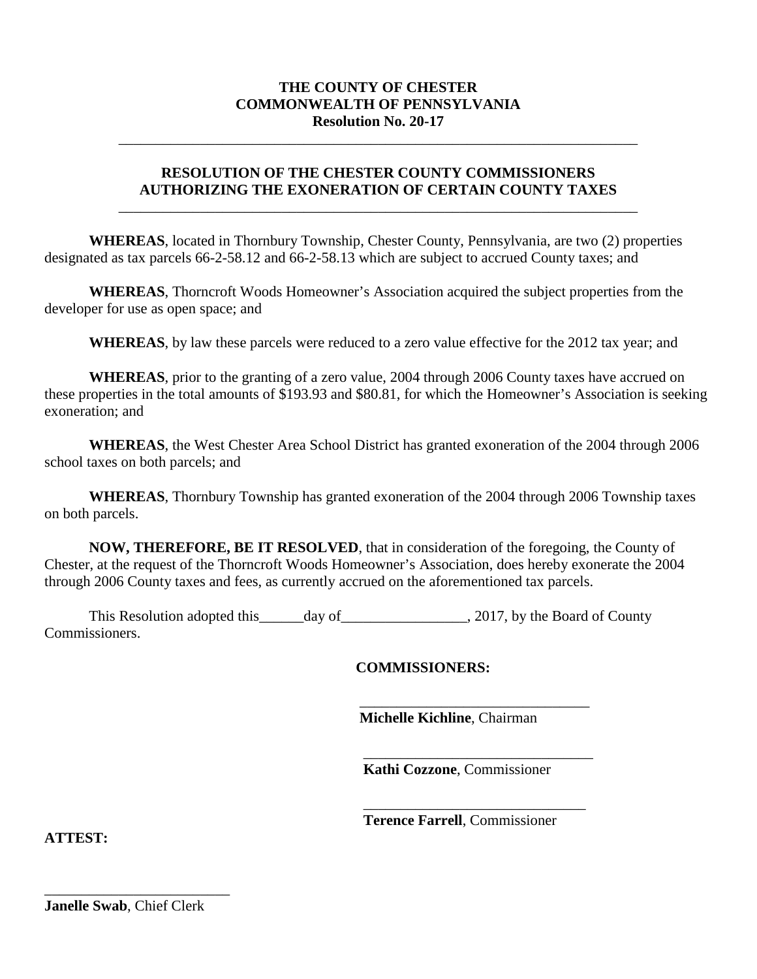#### **THE COUNTY OF CHESTER COMMONWEALTH OF PENNSYLVANIA Resolution No. 20-17**

\_\_\_\_\_\_\_\_\_\_\_\_\_\_\_\_\_\_\_\_\_\_\_\_\_\_\_\_\_\_\_\_\_\_\_\_\_\_\_\_\_\_\_\_\_\_\_\_\_\_\_\_\_\_\_\_\_\_\_\_\_\_\_\_\_\_\_\_\_\_

#### **RESOLUTION OF THE CHESTER COUNTY COMMISSIONERS AUTHORIZING THE EXONERATION OF CERTAIN COUNTY TAXES**

\_\_\_\_\_\_\_\_\_\_\_\_\_\_\_\_\_\_\_\_\_\_\_\_\_\_\_\_\_\_\_\_\_\_\_\_\_\_\_\_\_\_\_\_\_\_\_\_\_\_\_\_\_\_\_\_\_\_\_\_\_\_\_\_\_\_\_\_\_\_

**WHEREAS**, located in Thornbury Township, Chester County, Pennsylvania, are two (2) properties designated as tax parcels 66-2-58.12 and 66-2-58.13 which are subject to accrued County taxes; and

**WHEREAS**, Thorncroft Woods Homeowner's Association acquired the subject properties from the developer for use as open space; and

**WHEREAS**, by law these parcels were reduced to a zero value effective for the 2012 tax year; and

**WHEREAS**, prior to the granting of a zero value, 2004 through 2006 County taxes have accrued on these properties in the total amounts of \$193.93 and \$80.81, for which the Homeowner's Association is seeking exoneration; and

**WHEREAS**, the West Chester Area School District has granted exoneration of the 2004 through 2006 school taxes on both parcels; and

**WHEREAS**, Thornbury Township has granted exoneration of the 2004 through 2006 Township taxes on both parcels.

**NOW, THEREFORE, BE IT RESOLVED**, that in consideration of the foregoing, the County of Chester, at the request of the Thorncroft Woods Homeowner's Association, does hereby exonerate the 2004 through 2006 County taxes and fees, as currently accrued on the aforementioned tax parcels.

This Resolution adopted this \_\_\_\_\_day of \_\_\_\_\_\_\_\_\_\_\_\_\_\_\_\_\_\_, 2017, by the Board of County Commissioners.

#### **COMMISSIONERS:**

**Michelle Kichline**, Chairman

\_\_\_\_\_\_\_\_\_\_\_\_\_\_\_\_\_\_\_\_\_\_\_\_\_\_\_\_\_\_\_

 $\overline{\phantom{a}}$  , where the contract of the contract of the contract of the contract of the contract of the contract of the contract of the contract of the contract of the contract of the contract of the contract of the contr

 $\frac{1}{2}$  ,  $\frac{1}{2}$  ,  $\frac{1}{2}$  ,  $\frac{1}{2}$  ,  $\frac{1}{2}$  ,  $\frac{1}{2}$  ,  $\frac{1}{2}$  ,  $\frac{1}{2}$  ,  $\frac{1}{2}$  ,  $\frac{1}{2}$  ,  $\frac{1}{2}$  ,  $\frac{1}{2}$  ,  $\frac{1}{2}$  ,  $\frac{1}{2}$  ,  $\frac{1}{2}$  ,  $\frac{1}{2}$  ,  $\frac{1}{2}$  ,  $\frac{1}{2}$  ,  $\frac{1$ 

**Kathi Cozzone**, Commissioner

**Terence Farrell**, Commissioner

**ATTEST:**

**Janelle Swab**, Chief Clerk

\_\_\_\_\_\_\_\_\_\_\_\_\_\_\_\_\_\_\_\_\_\_\_\_\_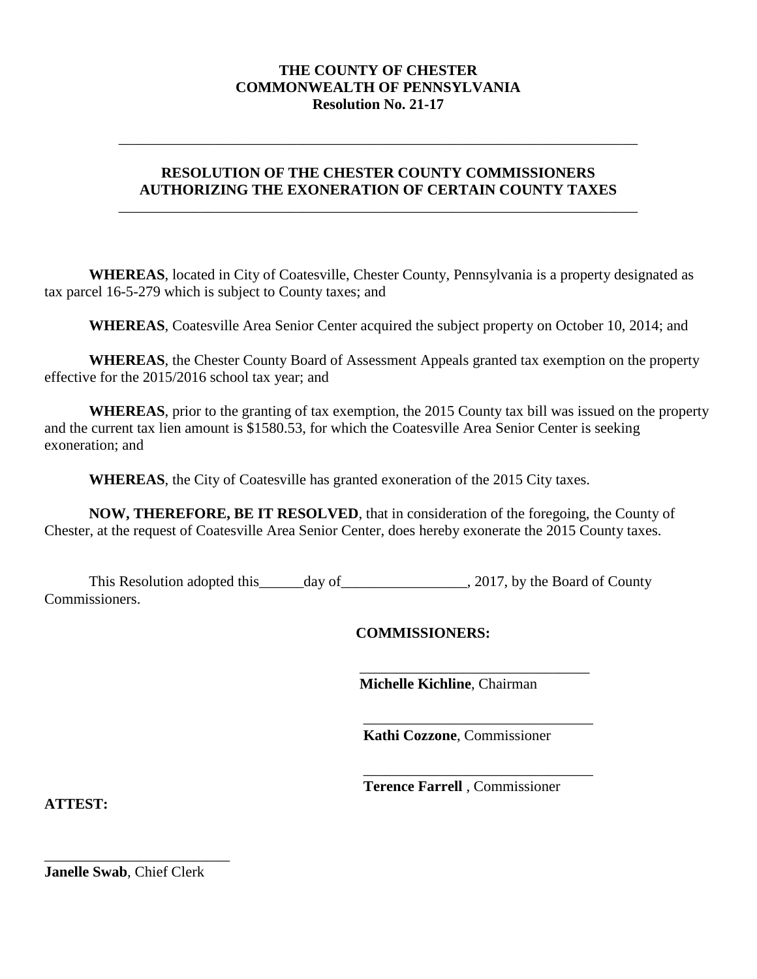#### **THE COUNTY OF CHESTER COMMONWEALTH OF PENNSYLVANIA Resolution No. 21-17**

### **RESOLUTION OF THE CHESTER COUNTY COMMISSIONERS AUTHORIZING THE EXONERATION OF CERTAIN COUNTY TAXES**

\_\_\_\_\_\_\_\_\_\_\_\_\_\_\_\_\_\_\_\_\_\_\_\_\_\_\_\_\_\_\_\_\_\_\_\_\_\_\_\_\_\_\_\_\_\_\_\_\_\_\_\_\_\_\_\_\_\_\_\_\_\_\_\_\_\_\_\_\_\_

\_\_\_\_\_\_\_\_\_\_\_\_\_\_\_\_\_\_\_\_\_\_\_\_\_\_\_\_\_\_\_\_\_\_\_\_\_\_\_\_\_\_\_\_\_\_\_\_\_\_\_\_\_\_\_\_\_\_\_\_\_\_\_\_\_\_\_\_\_\_

**WHEREAS**, located in City of Coatesville, Chester County, Pennsylvania is a property designated as tax parcel 16-5-279 which is subject to County taxes; and

**WHEREAS**, Coatesville Area Senior Center acquired the subject property on October 10, 2014; and

**WHEREAS**, the Chester County Board of Assessment Appeals granted tax exemption on the property effective for the 2015/2016 school tax year; and

**WHEREAS**, prior to the granting of tax exemption, the 2015 County tax bill was issued on the property and the current tax lien amount is \$1580.53, for which the Coatesville Area Senior Center is seeking exoneration; and

**WHEREAS**, the City of Coatesville has granted exoneration of the 2015 City taxes.

**NOW, THEREFORE, BE IT RESOLVED**, that in consideration of the foregoing, the County of Chester, at the request of Coatesville Area Senior Center, does hereby exonerate the 2015 County taxes.

This Resolution adopted this \_\_\_\_\_day of \_\_\_\_\_\_\_\_\_\_\_\_\_\_\_\_\_\_, 2017, by the Board of County Commissioners.

**COMMISSIONERS:**

**Michelle Kichline**, Chairman

\_\_\_\_\_\_\_\_\_\_\_\_\_\_\_\_\_\_\_\_\_\_\_\_\_\_\_\_\_\_\_

 $\overline{\phantom{a}}$  , where the contract of the contract of the contract of the contract of the contract of the contract of the contract of the contract of the contract of the contract of the contract of the contract of the contr **Kathi Cozzone**, Commissioner

 $\overline{\phantom{a}}$  , where the contract of the contract of the contract of the contract of the contract of the contract of the contract of the contract of the contract of the contract of the contract of the contract of the contr **Terence Farrell** , Commissioner

**ATTEST:**

**Janelle Swab**, Chief Clerk

\_\_\_\_\_\_\_\_\_\_\_\_\_\_\_\_\_\_\_\_\_\_\_\_\_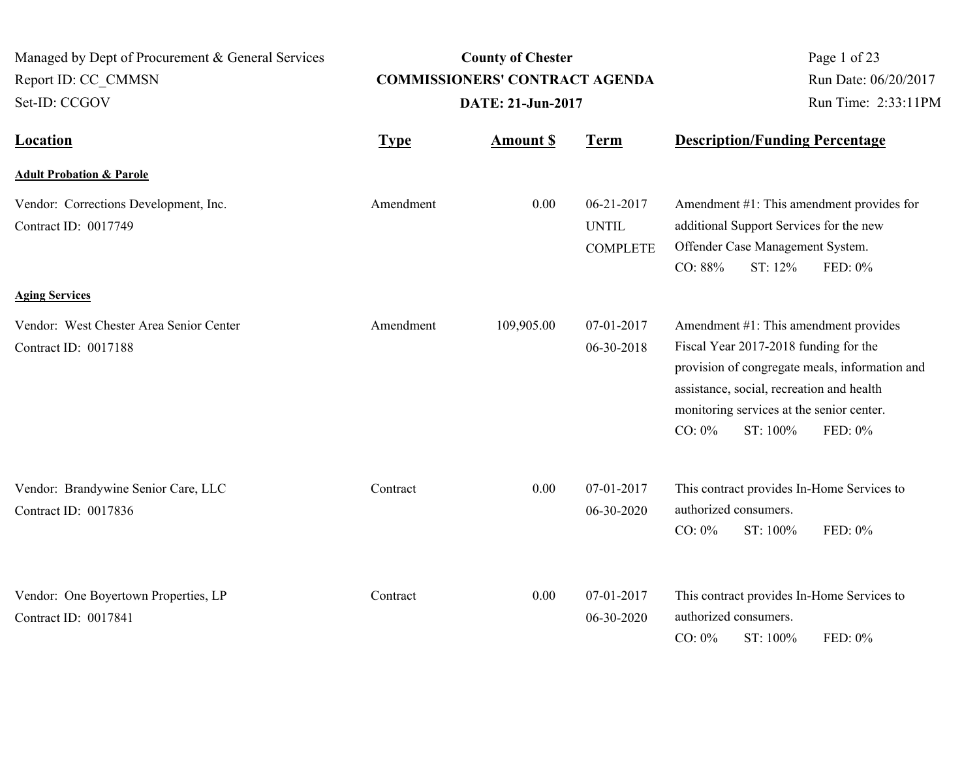| Managed by Dept of Procurement & General Services<br>Report ID: CC CMMSN<br>Set-ID: CCGOV | <b>County of Chester</b><br><b>COMMISSIONERS' CONTRACT AGENDA</b><br>DATE: 21-Jun-2017 |                  |                                               | Page 1 of 23<br>Run Date: 06/20/2017<br>Run Time: 2:33:11PM                                                                                                                                                                                                    |  |
|-------------------------------------------------------------------------------------------|----------------------------------------------------------------------------------------|------------------|-----------------------------------------------|----------------------------------------------------------------------------------------------------------------------------------------------------------------------------------------------------------------------------------------------------------------|--|
| <b>Location</b>                                                                           | <b>Type</b>                                                                            | <b>Amount \$</b> | <b>Term</b>                                   | <b>Description/Funding Percentage</b>                                                                                                                                                                                                                          |  |
| <b>Adult Probation &amp; Parole</b>                                                       |                                                                                        |                  |                                               |                                                                                                                                                                                                                                                                |  |
| Vendor: Corrections Development, Inc.<br>Contract ID: 0017749                             | Amendment                                                                              | 0.00             | 06-21-2017<br><b>UNTIL</b><br><b>COMPLETE</b> | Amendment #1: This amendment provides for<br>additional Support Services for the new<br>Offender Case Management System.<br>CO: 88%<br>ST: 12%<br>FED: 0%                                                                                                      |  |
| <b>Aging Services</b>                                                                     |                                                                                        |                  |                                               |                                                                                                                                                                                                                                                                |  |
| Vendor: West Chester Area Senior Center<br>Contract ID: 0017188                           | Amendment                                                                              | 109,905.00       | 07-01-2017<br>06-30-2018                      | Amendment #1: This amendment provides<br>Fiscal Year 2017-2018 funding for the<br>provision of congregate meals, information and<br>assistance, social, recreation and health<br>monitoring services at the senior center.<br>CO: $0\%$<br>ST: 100%<br>FED: 0% |  |
| Vendor: Brandywine Senior Care, LLC<br>Contract ID: 0017836                               | Contract                                                                               | 0.00             | 07-01-2017<br>06-30-2020                      | This contract provides In-Home Services to<br>authorized consumers.<br>$CO: 0\%$<br>ST: 100%<br>FED: 0%                                                                                                                                                        |  |
| Vendor: One Boyertown Properties, LP<br>Contract ID: 0017841                              | Contract                                                                               | 0.00             | 07-01-2017<br>06-30-2020                      | This contract provides In-Home Services to<br>authorized consumers.<br>$CO: 0\%$<br>ST: 100%<br>FED: 0%                                                                                                                                                        |  |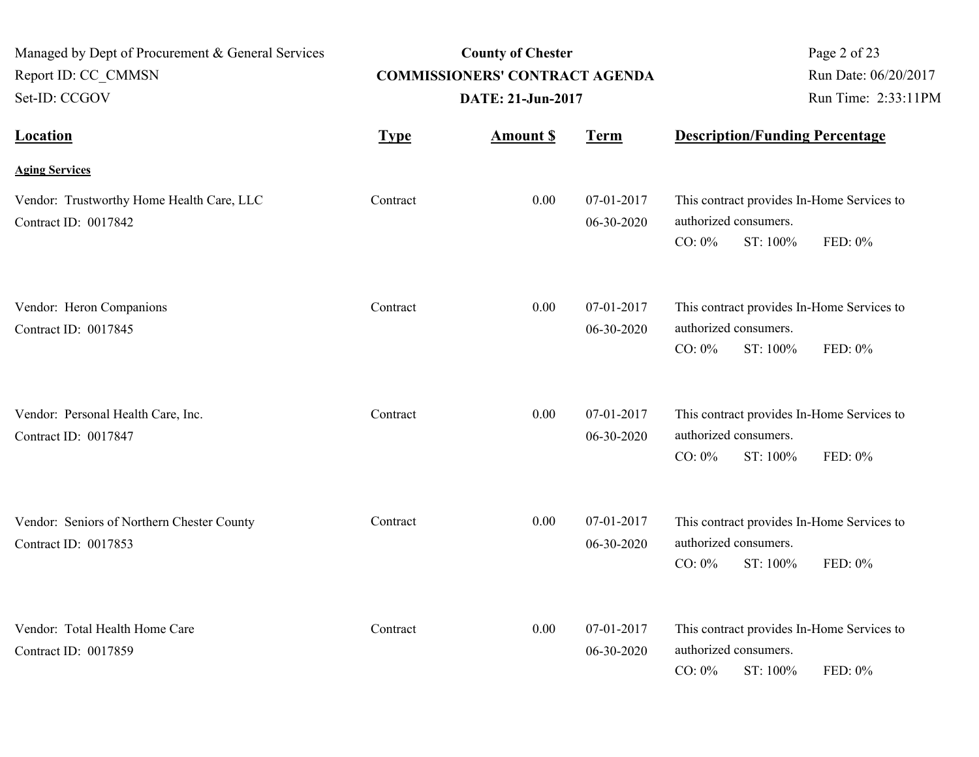| Managed by Dept of Procurement & General Services<br>Report ID: CC CMMSN<br>Set-ID: CCGOV | <b>COMMISSIONERS' CONTRACT AGENDA</b> | Page 2 of 23<br>Run Date: 06/20/2017<br>Run Time: 2:33:11PM |                          |                                       |          |                                                       |
|-------------------------------------------------------------------------------------------|---------------------------------------|-------------------------------------------------------------|--------------------------|---------------------------------------|----------|-------------------------------------------------------|
| <b>Location</b>                                                                           | <b>Type</b>                           | <b>Amount S</b>                                             | <b>Term</b>              | <b>Description/Funding Percentage</b> |          |                                                       |
| <b>Aging Services</b>                                                                     |                                       |                                                             |                          |                                       |          |                                                       |
| Vendor: Trustworthy Home Health Care, LLC<br>Contract ID: 0017842                         | Contract                              | 0.00                                                        | 07-01-2017<br>06-30-2020 | authorized consumers.<br>CO: $0\%$    | ST: 100% | This contract provides In-Home Services to<br>FED: 0% |
| Vendor: Heron Companions<br>Contract ID: 0017845                                          | Contract                              | 0.00                                                        | 07-01-2017<br>06-30-2020 | authorized consumers.<br>$CO: 0\%$    | ST: 100% | This contract provides In-Home Services to<br>FED: 0% |
| Vendor: Personal Health Care, Inc.<br>Contract ID: 0017847                                | Contract                              | 0.00                                                        | 07-01-2017<br>06-30-2020 | authorized consumers.<br>$CO: 0\%$    | ST: 100% | This contract provides In-Home Services to<br>FED: 0% |
| Vendor: Seniors of Northern Chester County<br>Contract ID: 0017853                        | Contract                              | 0.00                                                        | 07-01-2017<br>06-30-2020 | authorized consumers.<br>CO: $0\%$    | ST: 100% | This contract provides In-Home Services to<br>FED: 0% |
| Vendor: Total Health Home Care<br>Contract ID: 0017859                                    | Contract                              | 0.00                                                        | 07-01-2017<br>06-30-2020 | authorized consumers.<br>$CO: 0\%$    | ST: 100% | This contract provides In-Home Services to<br>FED: 0% |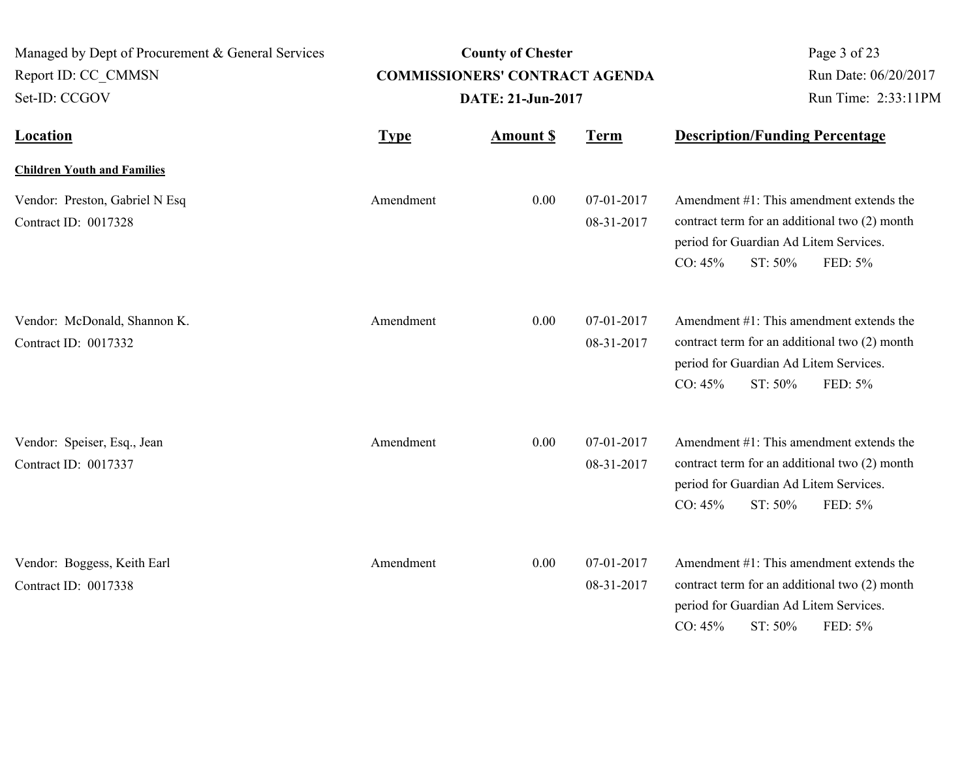| Managed by Dept of Procurement & General Services<br>Report ID: CC CMMSN<br>Set-ID: CCGOV |             | <b>County of Chester</b><br><b>COMMISSIONERS' CONTRACT AGENDA</b><br>DATE: 21-Jun-2017 | Page 3 of 23<br>Run Date: 06/20/2017<br>Run Time: 2:33:11PM |                                                                                                                                                                      |
|-------------------------------------------------------------------------------------------|-------------|----------------------------------------------------------------------------------------|-------------------------------------------------------------|----------------------------------------------------------------------------------------------------------------------------------------------------------------------|
| <b>Location</b>                                                                           | <b>Type</b> | <b>Amount \$</b>                                                                       | <b>Term</b>                                                 | <b>Description/Funding Percentage</b>                                                                                                                                |
| <b>Children Youth and Families</b>                                                        |             |                                                                                        |                                                             |                                                                                                                                                                      |
| Vendor: Preston, Gabriel N Esq<br>Contract ID: 0017328                                    | Amendment   | 0.00                                                                                   | 07-01-2017<br>08-31-2017                                    | Amendment #1: This amendment extends the<br>contract term for an additional two (2) month<br>period for Guardian Ad Litem Services.<br>CO: 45%<br>ST: 50%<br>FED: 5% |
| Vendor: McDonald, Shannon K.<br>Contract ID: 0017332                                      | Amendment   | 0.00                                                                                   | 07-01-2017<br>08-31-2017                                    | Amendment #1: This amendment extends the<br>contract term for an additional two (2) month<br>period for Guardian Ad Litem Services.<br>CO: 45%<br>ST: 50%<br>FED: 5% |
| Vendor: Speiser, Esq., Jean<br>Contract ID: 0017337                                       | Amendment   | 0.00                                                                                   | 07-01-2017<br>08-31-2017                                    | Amendment #1: This amendment extends the<br>contract term for an additional two (2) month<br>period for Guardian Ad Litem Services.<br>CO: 45%<br>ST: 50%<br>FED: 5% |
| Vendor: Boggess, Keith Earl<br>Contract ID: 0017338                                       | Amendment   | 0.00                                                                                   | 07-01-2017<br>08-31-2017                                    | Amendment #1: This amendment extends the<br>contract term for an additional two (2) month<br>period for Guardian Ad Litem Services.<br>ST: 50%<br>CO: 45%<br>FED: 5% |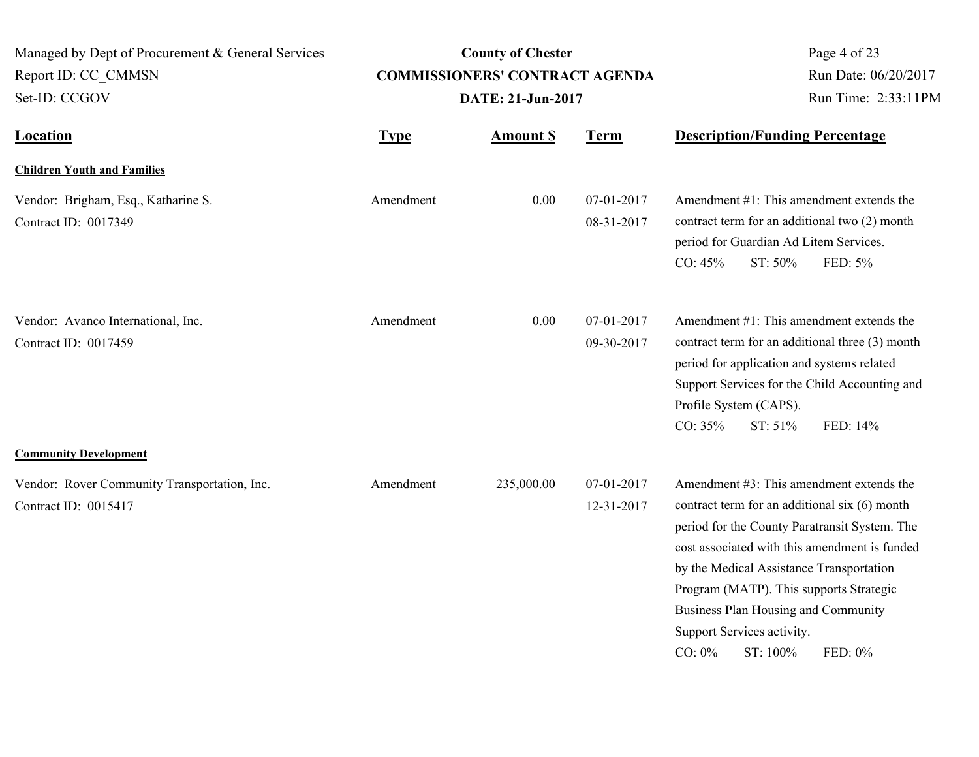| Managed by Dept of Procurement & General Services<br>Report ID: CC CMMSN<br>Set-ID: CCGOV            |             | <b>County of Chester</b><br><b>COMMISSIONERS' CONTRACT AGENDA</b><br>DATE: 21-Jun-2017 | Page 4 of 23<br>Run Date: 06/20/2017<br>Run Time: 2:33:11PM |                                                                                                                                                                                                                                                                                                                                                                                                |
|------------------------------------------------------------------------------------------------------|-------------|----------------------------------------------------------------------------------------|-------------------------------------------------------------|------------------------------------------------------------------------------------------------------------------------------------------------------------------------------------------------------------------------------------------------------------------------------------------------------------------------------------------------------------------------------------------------|
| <b>Location</b>                                                                                      | <b>Type</b> | <b>Amount \$</b>                                                                       | <b>Term</b>                                                 | <b>Description/Funding Percentage</b>                                                                                                                                                                                                                                                                                                                                                          |
| <b>Children Youth and Families</b>                                                                   |             |                                                                                        |                                                             |                                                                                                                                                                                                                                                                                                                                                                                                |
| Vendor: Brigham, Esq., Katharine S.<br>Contract ID: 0017349                                          | Amendment   | 0.00                                                                                   | 07-01-2017<br>08-31-2017                                    | Amendment $#1$ : This amendment extends the<br>contract term for an additional two (2) month<br>period for Guardian Ad Litem Services.<br>CO: 45%<br>ST: 50%<br>FED: 5%                                                                                                                                                                                                                        |
| Vendor: Avanco International, Inc.<br>Contract ID: 0017459                                           | Amendment   | 0.00                                                                                   | 07-01-2017<br>09-30-2017                                    | Amendment #1: This amendment extends the<br>contract term for an additional three (3) month<br>period for application and systems related<br>Support Services for the Child Accounting and<br>Profile System (CAPS).<br>CO: 35%<br>ST: 51%<br>FED: 14%                                                                                                                                         |
| <b>Community Development</b><br>Vendor: Rover Community Transportation, Inc.<br>Contract ID: 0015417 | Amendment   | 235,000.00                                                                             | 07-01-2017<br>12-31-2017                                    | Amendment $#3$ : This amendment extends the<br>contract term for an additional six (6) month<br>period for the County Paratransit System. The<br>cost associated with this amendment is funded<br>by the Medical Assistance Transportation<br>Program (MATP). This supports Strategic<br>Business Plan Housing and Community<br>Support Services activity.<br>$CO: 0\%$<br>ST: 100%<br>FED: 0% |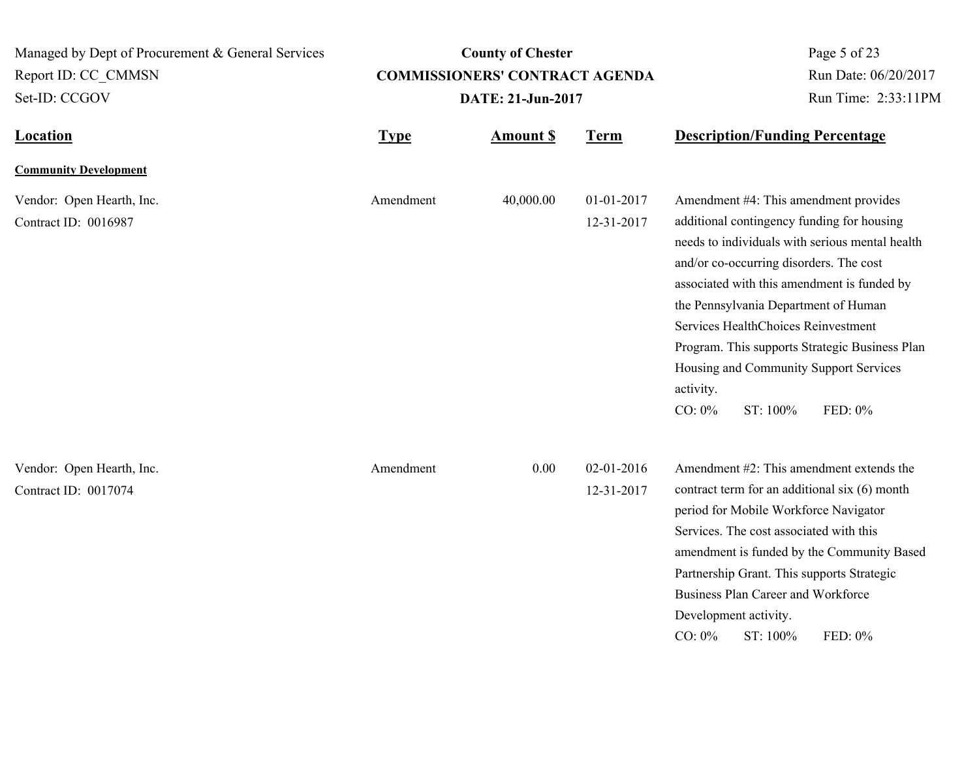**Location Type Type** *Amount \$* **Term Description/Funding Percentage County of Chester COMMISSIONERS' CONTRACT AGENDA** Managed by Dept of Procurement & General Services Set-ID: CCGOV Report ID: CC\_CMMSN Page 5 of 23 **Amount \$ DATE: 21-Jun-2017** Run Date: 06/20/2017 Run Time: 2:33:11PM **Community Development** Vendor: Open Hearth, Inc. Amendment 40,000.00 01-01-2017 Contract ID: 0016987 12-31-2017 Amendment #4: This amendment provides additional contingency funding for housing needs to individuals with serious mental health and/or co-occurring disorders. The cost associated with this amendment is funded by the Pennsylvania Department of Human Services HealthChoices Reinvestment Program. This supports Strategic Business Plan Housing and Community Support Services activity. CO: 0% ST: 100% FED: 0% Amendment Vendor: Open Hearth, Inc. 0.00 02-01-2016 Contract ID: 0017074 12-31-2017 Amendment #2: This amendment extends the contract term for an additional six (6) month period for Mobile Workforce Navigator Services. The cost associated with this amendment is funded by the Community Based Partnership Grant. This supports Strategic Business Plan Career and Workforce Development activity. CO: 0% ST: 100% FED: 0% Amendment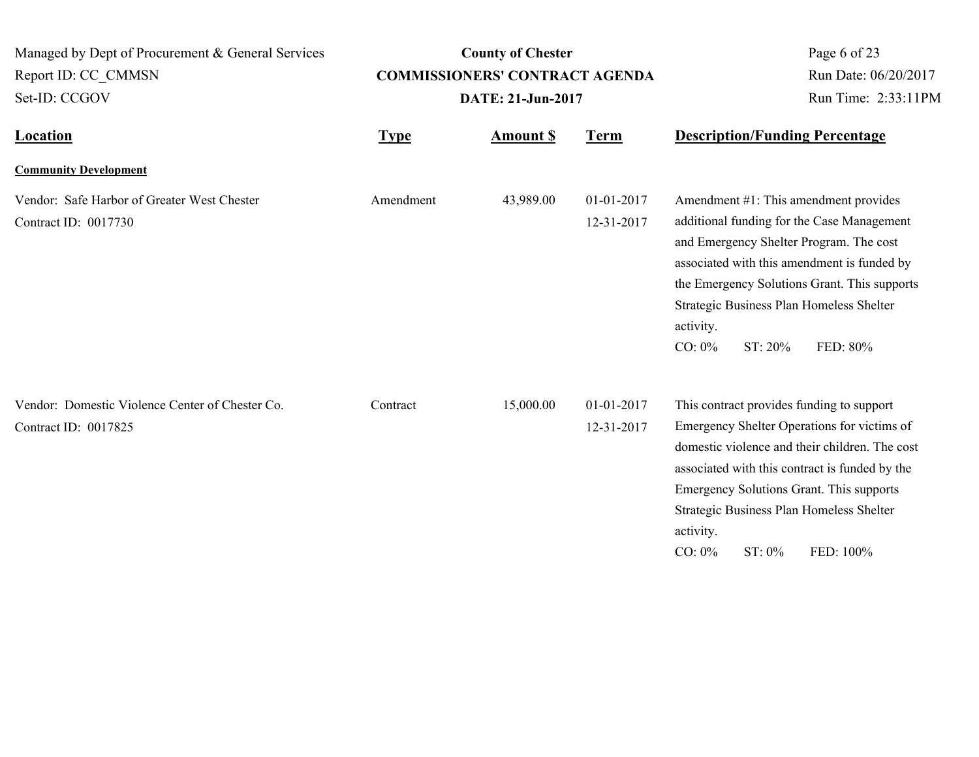| Managed by Dept of Procurement & General Services<br>Report ID: CC_CMMSN |             | <b>County of Chester</b><br><b>COMMISSIONERS' CONTRACT AGENDA</b> |                          | Page 6 of 23<br>Run Date: 06/20/2017                                                                                                                                                                                                                                                                                                     |  |
|--------------------------------------------------------------------------|-------------|-------------------------------------------------------------------|--------------------------|------------------------------------------------------------------------------------------------------------------------------------------------------------------------------------------------------------------------------------------------------------------------------------------------------------------------------------------|--|
| Set-ID: CCGOV                                                            |             | DATE: 21-Jun-2017                                                 |                          | Run Time: 2:33:11PM                                                                                                                                                                                                                                                                                                                      |  |
| <b>Location</b>                                                          | <b>Type</b> | <b>Amount S</b>                                                   | <b>Term</b>              | <b>Description/Funding Percentage</b>                                                                                                                                                                                                                                                                                                    |  |
| <b>Community Development</b>                                             |             |                                                                   |                          |                                                                                                                                                                                                                                                                                                                                          |  |
| Vendor: Safe Harbor of Greater West Chester<br>Contract ID: 0017730      | Amendment   | 43,989.00                                                         | 01-01-2017<br>12-31-2017 | Amendment #1: This amendment provides<br>additional funding for the Case Management<br>and Emergency Shelter Program. The cost<br>associated with this amendment is funded by<br>the Emergency Solutions Grant. This supports<br>Strategic Business Plan Homeless Shelter<br>activity.<br>$CO: 0\%$<br>ST: 20%<br>FED: 80%               |  |
| Vendor: Domestic Violence Center of Chester Co.<br>Contract ID: 0017825  | Contract    | 15,000.00                                                         | 01-01-2017<br>12-31-2017 | This contract provides funding to support<br>Emergency Shelter Operations for victims of<br>domestic violence and their children. The cost<br>associated with this contract is funded by the<br>Emergency Solutions Grant. This supports<br>Strategic Business Plan Homeless Shelter<br>activity.<br>$CO: 0\%$<br>$ST: 0\%$<br>FED: 100% |  |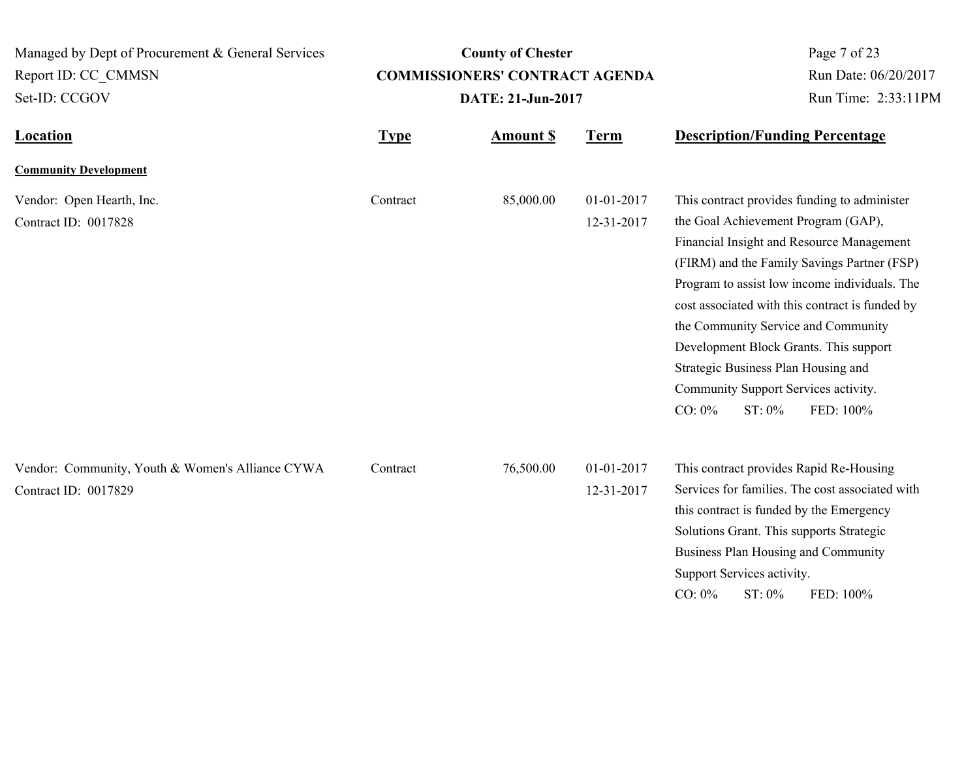**Location Type Type** *Amount \$* **Term Description/Funding Percentage County of Chester COMMISSIONERS' CONTRACT AGENDA** Managed by Dept of Procurement & General Services Set-ID: CCGOV Report ID: CC\_CMMSN Page 7 of 23 **Amount \$ DATE: 21-Jun-2017** Run Date: 06/20/2017 Run Time: 2:33:11PM **Community Development** Vendor: Open Hearth, Inc. Contract 85,000.00 01-01-2017 Contract ID: 0017828 12-31-2017 This contract provides funding to administer the Goal Achievement Program (GAP), Financial Insight and Resource Management (FIRM) and the Family Savings Partner (FSP) Program to assist low income individuals. The cost associated with this contract is funded by the Community Service and Community Development Block Grants. This support Strategic Business Plan Housing and Community Support Services activity. CO: 0% ST: 0% FED: 100% **Contract** Vendor: Community, Youth & Women's Alliance CYWA Contract 76,500.00 01-01-2017 Contract ID: 0017829 12-31-2017 This contract provides Rapid Re-Housing Services for families. The cost associated with this contract is funded by the Emergency Solutions Grant. This supports Strategic Business Plan Housing and Community Support Services activity. CO: 0% ST: 0% FED: 100% **Contract**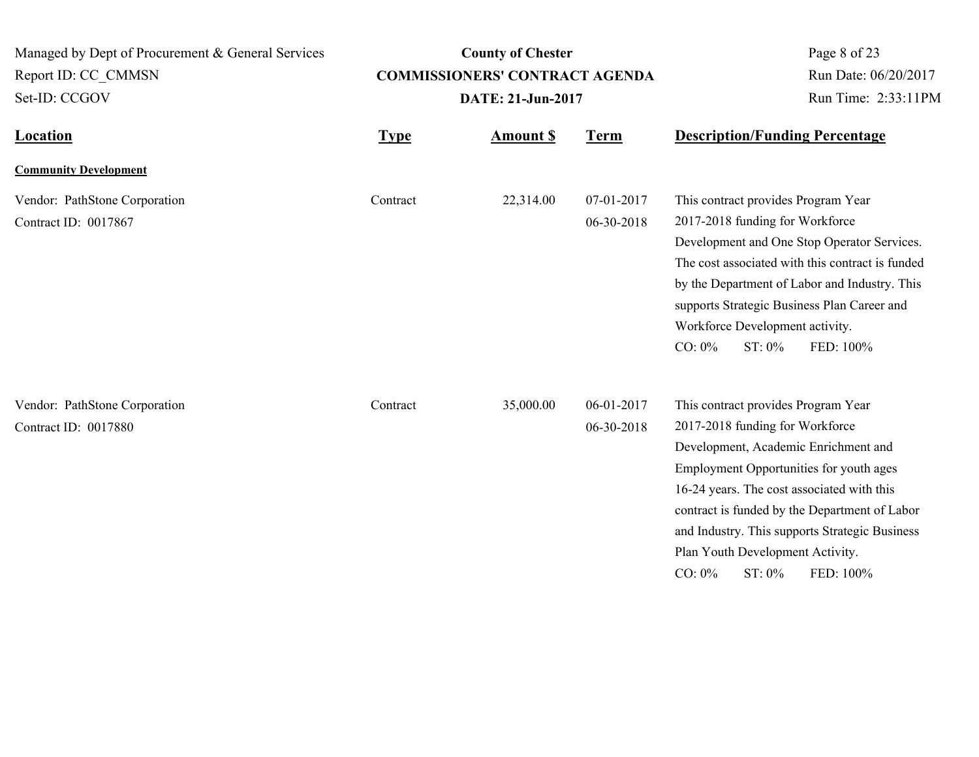| Managed by Dept of Procurement & General Services<br>Report ID: CC CMMSN<br>Set-ID: CCGOV |             | <b>County of Chester</b><br><b>COMMISSIONERS' CONTRACT AGENDA</b><br>DATE: 21-Jun-2017 | Page 8 of 23<br>Run Date: 06/20/2017<br>Run Time: 2:33:11PM |                                                                                                                                                                                                                                                                                                                                                                                    |  |
|-------------------------------------------------------------------------------------------|-------------|----------------------------------------------------------------------------------------|-------------------------------------------------------------|------------------------------------------------------------------------------------------------------------------------------------------------------------------------------------------------------------------------------------------------------------------------------------------------------------------------------------------------------------------------------------|--|
| <b>Location</b>                                                                           | <b>Type</b> | <b>Amount \$</b>                                                                       | <b>Term</b>                                                 | <b>Description/Funding Percentage</b>                                                                                                                                                                                                                                                                                                                                              |  |
| <b>Community Development</b>                                                              |             |                                                                                        |                                                             |                                                                                                                                                                                                                                                                                                                                                                                    |  |
| Vendor: PathStone Corporation<br>Contract ID: 0017867                                     | Contract    | 22,314.00                                                                              | 07-01-2017<br>06-30-2018                                    | This contract provides Program Year<br>2017-2018 funding for Workforce<br>Development and One Stop Operator Services.<br>The cost associated with this contract is funded<br>by the Department of Labor and Industry. This<br>supports Strategic Business Plan Career and<br>Workforce Development activity.<br>$CO: 0\%$<br>ST: 0%<br>FED: 100%                                   |  |
| Vendor: PathStone Corporation<br>Contract ID: 0017880                                     | Contract    | 35,000.00                                                                              | 06-01-2017<br>06-30-2018                                    | This contract provides Program Year<br>2017-2018 funding for Workforce<br>Development, Academic Enrichment and<br>Employment Opportunities for youth ages<br>16-24 years. The cost associated with this<br>contract is funded by the Department of Labor<br>and Industry. This supports Strategic Business<br>Plan Youth Development Activity.<br>$CO: 0\%$<br>ST: 0%<br>FED: 100% |  |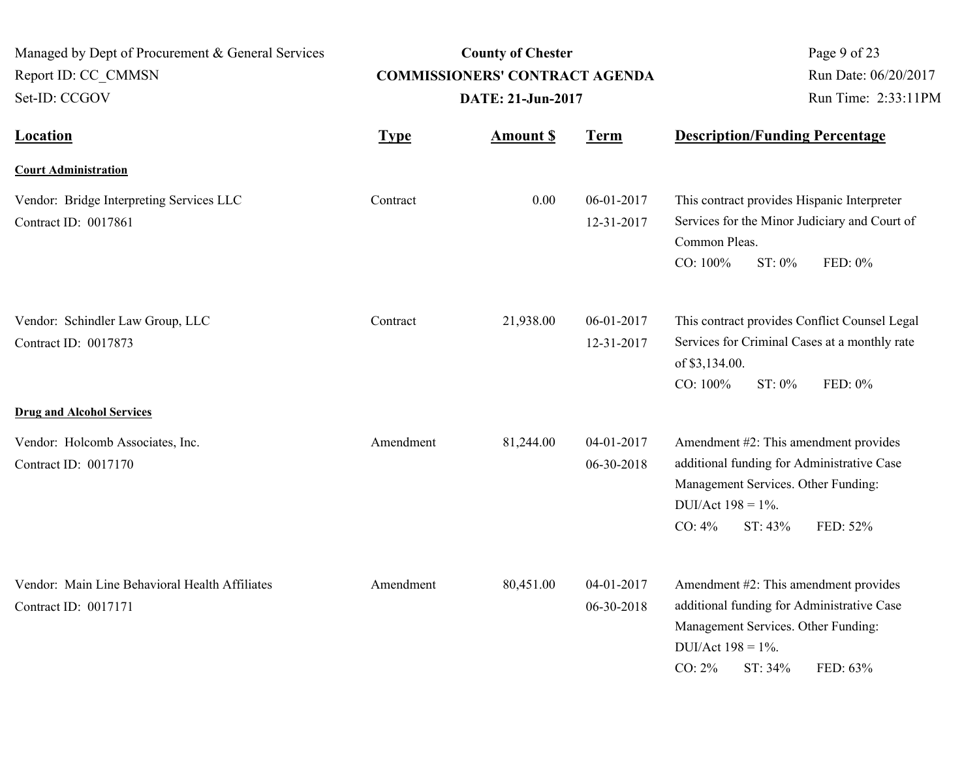| Managed by Dept of Procurement & General Services<br>Report ID: CC CMMSN<br>Set-ID: CCGOV | <b>COMMISSIONERS' CONTRACT AGENDA</b> | <b>County of Chester</b><br>DATE: 21-Jun-2017 |                          | Page 9 of 23<br>Run Date: 06/20/2017<br>Run Time: 2:33:11PM                                                                                                                 |          |
|-------------------------------------------------------------------------------------------|---------------------------------------|-----------------------------------------------|--------------------------|-----------------------------------------------------------------------------------------------------------------------------------------------------------------------------|----------|
| <b>Location</b>                                                                           | <b>Type</b>                           | <b>Amount S</b>                               | <b>Term</b>              | <b>Description/Funding Percentage</b>                                                                                                                                       |          |
| <b>Court Administration</b>                                                               |                                       |                                               |                          |                                                                                                                                                                             |          |
| Vendor: Bridge Interpreting Services LLC<br>Contract ID: 0017861                          | Contract                              | 0.00                                          | 06-01-2017<br>12-31-2017 | This contract provides Hispanic Interpreter<br>Services for the Minor Judiciary and Court of<br>Common Pleas.<br>CO: 100%<br>ST: 0%                                         | FED: 0%  |
| Vendor: Schindler Law Group, LLC<br>Contract ID: 0017873                                  | Contract                              | 21,938.00                                     | 06-01-2017<br>12-31-2017 | This contract provides Conflict Counsel Legal<br>Services for Criminal Cases at a monthly rate<br>of \$3,134.00.<br>$CO: 100\%$<br>$ST: 0\%$                                | FED: 0%  |
| <b>Drug and Alcohol Services</b>                                                          |                                       |                                               |                          |                                                                                                                                                                             |          |
| Vendor: Holcomb Associates, Inc.<br>Contract ID: 0017170                                  | Amendment                             | 81,244.00                                     | 04-01-2017<br>06-30-2018 | Amendment #2: This amendment provides<br>additional funding for Administrative Case<br>Management Services. Other Funding:<br>DUI/Act $198 = 1\%$ .<br>CO: 4%<br>ST: 43%    | FED: 52% |
| Vendor: Main Line Behavioral Health Affiliates<br>Contract ID: 0017171                    | Amendment                             | 80,451.00                                     | 04-01-2017<br>06-30-2018 | Amendment #2: This amendment provides<br>additional funding for Administrative Case<br>Management Services. Other Funding:<br>DUI/Act $198 = 1\%$ .<br>$CO: 2\%$<br>ST: 34% | FED: 63% |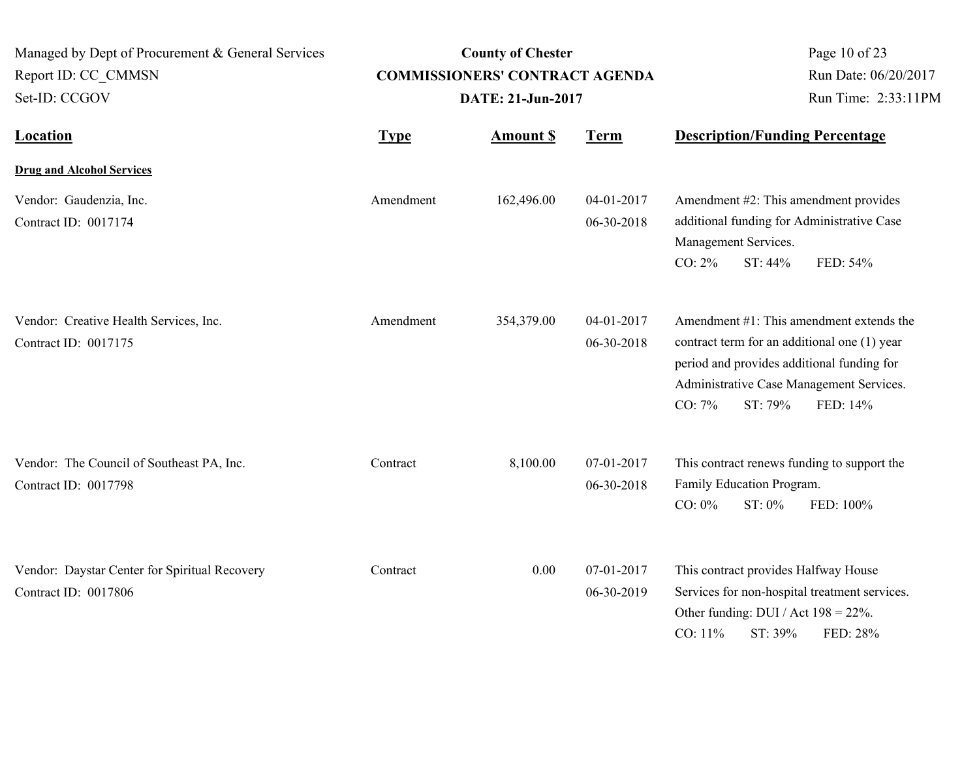| Managed by Dept of Procurement & General Services<br>Report ID: CC CMMSN<br>Set-ID: CCGOV |             | <b>County of Chester</b><br><b>COMMISSIONERS' CONTRACT AGENDA</b><br>DATE: 21-Jun-2017 | Page 10 of 23<br>Run Date: 06/20/2017<br>Run Time: 2:33:11PM |                                                                                                                                                                                                                     |
|-------------------------------------------------------------------------------------------|-------------|----------------------------------------------------------------------------------------|--------------------------------------------------------------|---------------------------------------------------------------------------------------------------------------------------------------------------------------------------------------------------------------------|
| <b>Location</b>                                                                           | <b>Type</b> | <b>Amount \$</b>                                                                       | <b>Term</b>                                                  | <b>Description/Funding Percentage</b>                                                                                                                                                                               |
| <b>Drug and Alcohol Services</b>                                                          |             |                                                                                        |                                                              |                                                                                                                                                                                                                     |
| Vendor: Gaudenzia, Inc.<br>Contract ID: 0017174                                           | Amendment   | 162,496.00                                                                             | 04-01-2017<br>06-30-2018                                     | Amendment #2: This amendment provides<br>additional funding for Administrative Case<br>Management Services.<br>$CO: 2\%$<br>ST: 44%<br>FED: 54%                                                                     |
| Vendor: Creative Health Services, Inc.<br>Contract ID: 0017175                            | Amendment   | 354,379.00                                                                             | 04-01-2017<br>06-30-2018                                     | Amendment #1: This amendment extends the<br>contract term for an additional one (1) year<br>period and provides additional funding for<br>Administrative Case Management Services.<br>CO: 7%<br>ST: 79%<br>FED: 14% |
| Vendor: The Council of Southeast PA, Inc.<br>Contract ID: 0017798                         | Contract    | 8,100.00                                                                               | 07-01-2017<br>06-30-2018                                     | This contract renews funding to support the<br>Family Education Program.<br>$CO: 0\%$<br>ST: 0%<br>FED: 100%                                                                                                        |
| Vendor: Daystar Center for Spiritual Recovery<br>Contract ID: 0017806                     | Contract    | 0.00                                                                                   | 07-01-2017<br>06-30-2019                                     | This contract provides Halfway House<br>Services for non-hospital treatment services.<br>Other funding: DUI / Act $198 = 22\%$ .<br>CO: 11%<br>ST: 39%<br>FED: 28%                                                  |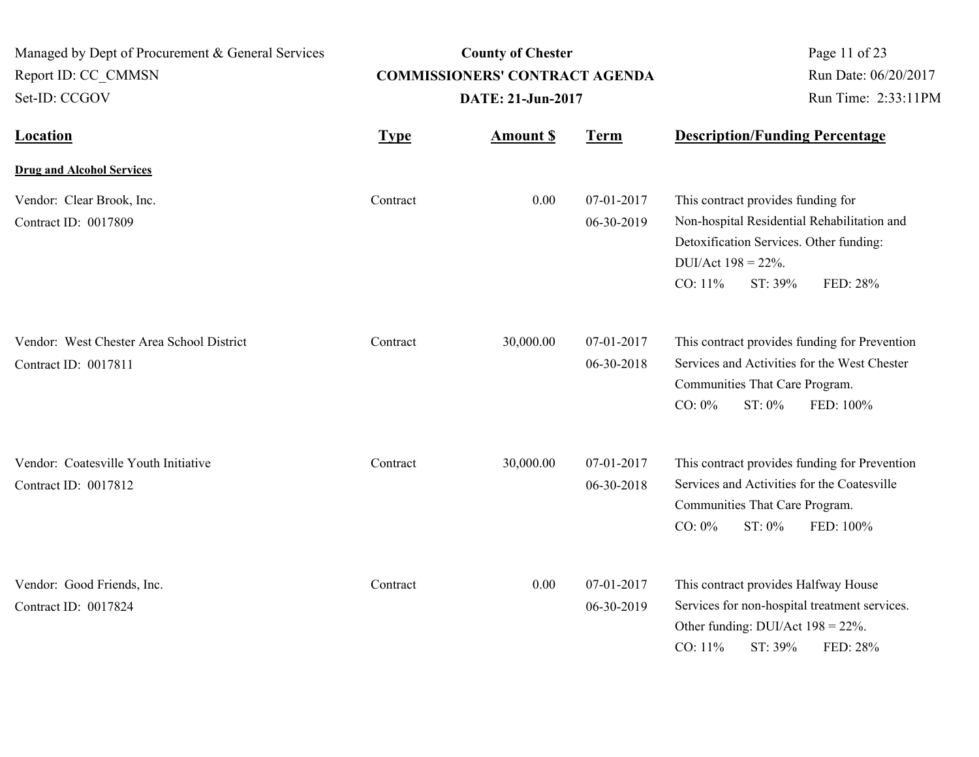| Managed by Dept of Procurement & General Services<br>Report ID: CC CMMSN<br>Set-ID: CCGOV | <b>County of Chester</b><br><b>COMMISSIONERS' CONTRACT AGENDA</b><br>DATE: 21-Jun-2017 |                 |                          | Page 11 of 23<br>Run Date: 06/20/2017<br>Run Time: 2:33:11PM                                                                                                                             |
|-------------------------------------------------------------------------------------------|----------------------------------------------------------------------------------------|-----------------|--------------------------|------------------------------------------------------------------------------------------------------------------------------------------------------------------------------------------|
| <b>Location</b>                                                                           | <b>Type</b>                                                                            | <b>Amount S</b> | <b>Term</b>              | <b>Description/Funding Percentage</b>                                                                                                                                                    |
| <b>Drug and Alcohol Services</b>                                                          |                                                                                        |                 |                          |                                                                                                                                                                                          |
| Vendor: Clear Brook, Inc.<br>Contract ID: 0017809                                         | Contract                                                                               | 0.00            | 07-01-2017<br>06-30-2019 | This contract provides funding for<br>Non-hospital Residential Rehabilitation and<br>Detoxification Services. Other funding:<br>DUI/Act $198 = 22\%$ .<br>CO: 11%<br>ST: 39%<br>FED: 28% |
| Vendor: West Chester Area School District<br>Contract ID: 0017811                         | Contract                                                                               | 30,000.00       | 07-01-2017<br>06-30-2018 | This contract provides funding for Prevention<br>Services and Activities for the West Chester<br>Communities That Care Program.<br>$CO: 0\%$<br>ST: 0%<br>FED: 100%                      |
| Vendor: Coatesville Youth Initiative<br>Contract ID: 0017812                              | Contract                                                                               | 30,000.00       | 07-01-2017<br>06-30-2018 | This contract provides funding for Prevention<br>Services and Activities for the Coatesville<br>Communities That Care Program.<br>$CO: 0\%$<br>ST: 0%<br>FED: 100%                       |
| Vendor: Good Friends, Inc.<br>Contract ID: 0017824                                        | Contract                                                                               | 0.00            | 07-01-2017<br>06-30-2019 | This contract provides Halfway House<br>Services for non-hospital treatment services.<br>Other funding: DUI/Act $198 = 22\%$ .<br>CO: 11%<br>ST: 39%<br>FED: 28%                         |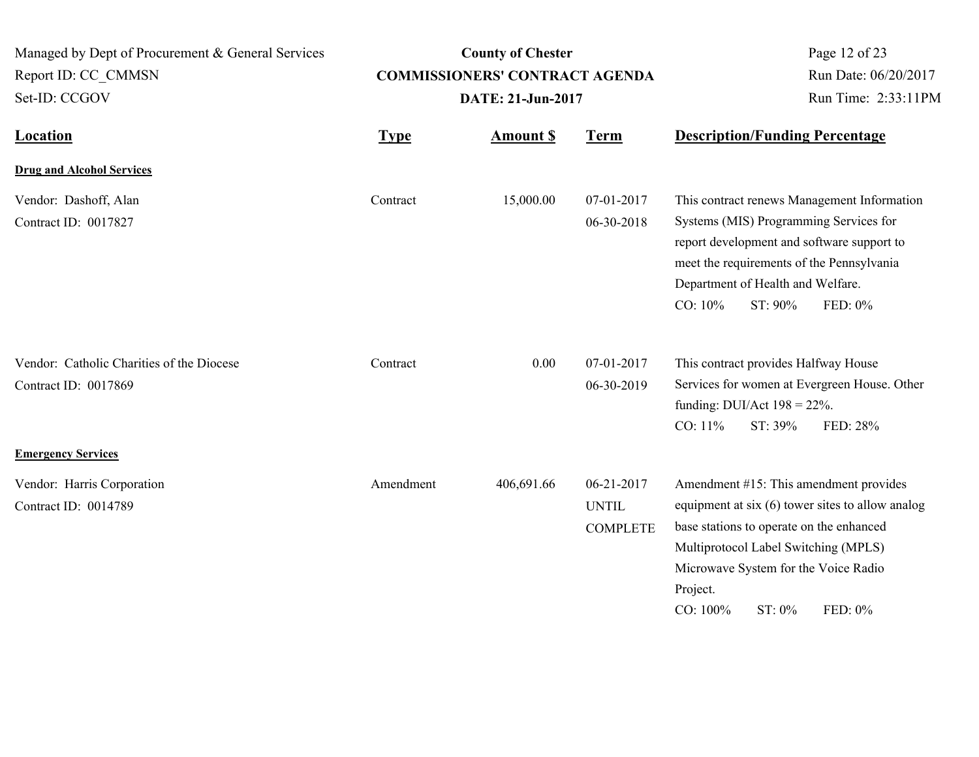| Managed by Dept of Procurement & General Services<br>Report ID: CC CMMSN<br>Set-ID: CCGOV | <b>County of Chester</b><br><b>COMMISSIONERS' CONTRACT AGENDA</b><br>DATE: 21-Jun-2017 |            |                                               | Page 12 of 23<br>Run Date: 06/20/2017<br>Run Time: 2:33:11PM                                                                                                                                                                                                        |
|-------------------------------------------------------------------------------------------|----------------------------------------------------------------------------------------|------------|-----------------------------------------------|---------------------------------------------------------------------------------------------------------------------------------------------------------------------------------------------------------------------------------------------------------------------|
| <b>Location</b>                                                                           | <b>Term</b><br><b>Amount \$</b><br><b>Type</b>                                         |            | <b>Description/Funding Percentage</b>         |                                                                                                                                                                                                                                                                     |
| <b>Drug and Alcohol Services</b>                                                          |                                                                                        |            |                                               |                                                                                                                                                                                                                                                                     |
| Vendor: Dashoff, Alan<br>Contract ID: 0017827                                             | Contract                                                                               | 15,000.00  | 07-01-2017<br>06-30-2018                      | This contract renews Management Information<br>Systems (MIS) Programming Services for<br>report development and software support to<br>meet the requirements of the Pennsylvania<br>Department of Health and Welfare.<br>CO: 10%<br>ST: 90%<br>FED: 0%              |
| Vendor: Catholic Charities of the Diocese<br>Contract ID: 0017869                         | Contract                                                                               | 0.00       | 07-01-2017<br>06-30-2019                      | This contract provides Halfway House<br>Services for women at Evergreen House. Other<br>funding: DUI/Act $198 = 22\%$ .<br>CO: 11%<br>ST: 39%<br>FED: 28%                                                                                                           |
| <b>Emergency Services</b>                                                                 |                                                                                        |            |                                               |                                                                                                                                                                                                                                                                     |
| Vendor: Harris Corporation<br>Contract ID: 0014789                                        | Amendment                                                                              | 406,691.66 | 06-21-2017<br><b>UNTIL</b><br><b>COMPLETE</b> | Amendment #15: This amendment provides<br>equipment at six (6) tower sites to allow analog<br>base stations to operate on the enhanced<br>Multiprotocol Label Switching (MPLS)<br>Microwave System for the Voice Radio<br>Project.<br>CO: 100%<br>ST: 0%<br>FED: 0% |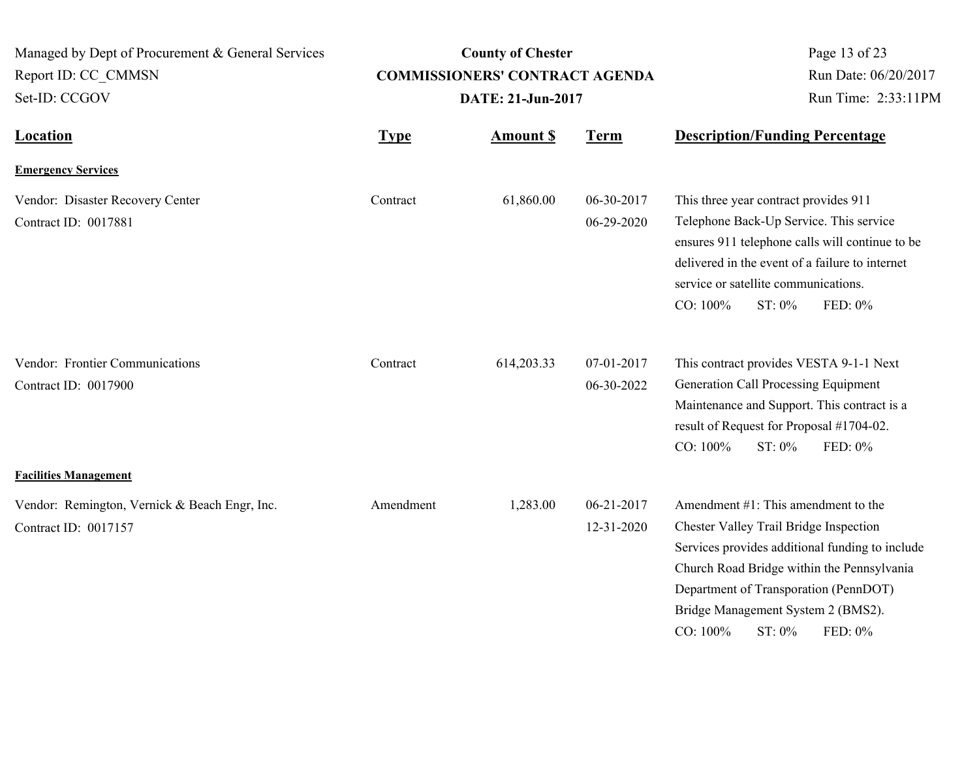| Managed by Dept of Procurement & General Services<br>Report ID: CC CMMSN<br>Set-ID: CCGOV | <b>County of Chester</b><br><b>COMMISSIONERS' CONTRACT AGENDA</b><br>DATE: 21-Jun-2017 |                  |                          | Page 13 of 23<br>Run Date: 06/20/2017<br>Run Time: 2:33:11PM                                                                                                                                                                                                                                      |
|-------------------------------------------------------------------------------------------|----------------------------------------------------------------------------------------|------------------|--------------------------|---------------------------------------------------------------------------------------------------------------------------------------------------------------------------------------------------------------------------------------------------------------------------------------------------|
| <b>Location</b>                                                                           | <b>Type</b>                                                                            | <b>Amount \$</b> | <b>Term</b>              | <b>Description/Funding Percentage</b>                                                                                                                                                                                                                                                             |
| <b>Emergency Services</b>                                                                 |                                                                                        |                  |                          |                                                                                                                                                                                                                                                                                                   |
| Vendor: Disaster Recovery Center<br>Contract ID: 0017881                                  | Contract                                                                               | 61,860.00        | 06-30-2017<br>06-29-2020 | This three year contract provides 911<br>Telephone Back-Up Service. This service<br>ensures 911 telephone calls will continue to be<br>delivered in the event of a failure to internet<br>service or satellite communications.<br>CO: 100%<br>ST: 0%<br>FED: 0%                                   |
| Vendor: Frontier Communications<br>Contract ID: 0017900                                   | Contract                                                                               | 614,203.33       | 07-01-2017<br>06-30-2022 | This contract provides VESTA 9-1-1 Next<br>Generation Call Processing Equipment<br>Maintenance and Support. This contract is a<br>result of Request for Proposal #1704-02.<br>CO: 100%<br>ST: 0%<br>FED: 0%                                                                                       |
| <b>Facilities Management</b>                                                              |                                                                                        |                  |                          |                                                                                                                                                                                                                                                                                                   |
| Vendor: Remington, Vernick & Beach Engr, Inc.<br>Contract ID: 0017157                     | Amendment                                                                              | 1,283.00         | 06-21-2017<br>12-31-2020 | Amendment $#1$ : This amendment to the<br>Chester Valley Trail Bridge Inspection<br>Services provides additional funding to include<br>Church Road Bridge within the Pennsylvania<br>Department of Transporation (PennDOT)<br>Bridge Management System 2 (BMS2).<br>CO: 100%<br>ST: 0%<br>FED: 0% |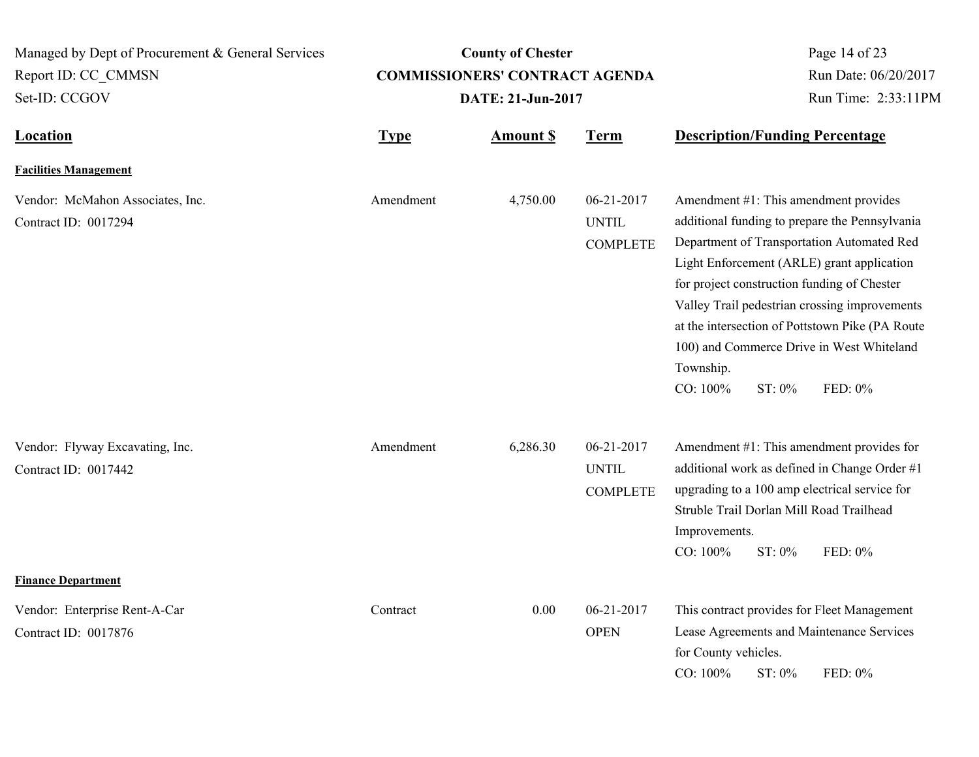| Managed by Dept of Procurement & General Services<br>Report ID: CC CMMSN<br>Set-ID: CCGOV | <b>County of Chester</b><br><b>COMMISSIONERS' CONTRACT AGENDA</b><br>DATE: 21-Jun-2017 |                 |                                               | Page 14 of 23<br>Run Date: 06/20/2017<br>Run Time: 2:33:11PM                                                                                                                                                                                                                                                                                                                                                                      |  |
|-------------------------------------------------------------------------------------------|----------------------------------------------------------------------------------------|-----------------|-----------------------------------------------|-----------------------------------------------------------------------------------------------------------------------------------------------------------------------------------------------------------------------------------------------------------------------------------------------------------------------------------------------------------------------------------------------------------------------------------|--|
| <b>Location</b>                                                                           | <b>Type</b>                                                                            | <b>Amount S</b> | <b>Term</b>                                   | <b>Description/Funding Percentage</b>                                                                                                                                                                                                                                                                                                                                                                                             |  |
| <b>Facilities Management</b>                                                              |                                                                                        |                 |                                               |                                                                                                                                                                                                                                                                                                                                                                                                                                   |  |
| Vendor: McMahon Associates, Inc.<br>Contract ID: 0017294                                  | Amendment                                                                              | 4,750.00        | 06-21-2017<br><b>UNTIL</b><br><b>COMPLETE</b> | Amendment #1: This amendment provides<br>additional funding to prepare the Pennsylvania<br>Department of Transportation Automated Red<br>Light Enforcement (ARLE) grant application<br>for project construction funding of Chester<br>Valley Trail pedestrian crossing improvements<br>at the intersection of Pottstown Pike (PA Route<br>100) and Commerce Drive in West Whiteland<br>Township.<br>CO: 100%<br>FED: 0%<br>ST: 0% |  |
| Vendor: Flyway Excavating, Inc.<br>Contract ID: 0017442<br><b>Finance Department</b>      | Amendment                                                                              | 6,286.30        | 06-21-2017<br><b>UNTIL</b><br><b>COMPLETE</b> | Amendment #1: This amendment provides for<br>additional work as defined in Change Order #1<br>upgrading to a 100 amp electrical service for<br>Struble Trail Dorlan Mill Road Trailhead<br>Improvements.<br>CO: 100%<br>ST: 0%<br>FED: 0%                                                                                                                                                                                         |  |
| Vendor: Enterprise Rent-A-Car<br>Contract ID: 0017876                                     | Contract                                                                               | 0.00            | 06-21-2017<br><b>OPEN</b>                     | This contract provides for Fleet Management<br>Lease Agreements and Maintenance Services<br>for County vehicles.<br>CO: 100%<br>ST: 0%<br>FED: 0%                                                                                                                                                                                                                                                                                 |  |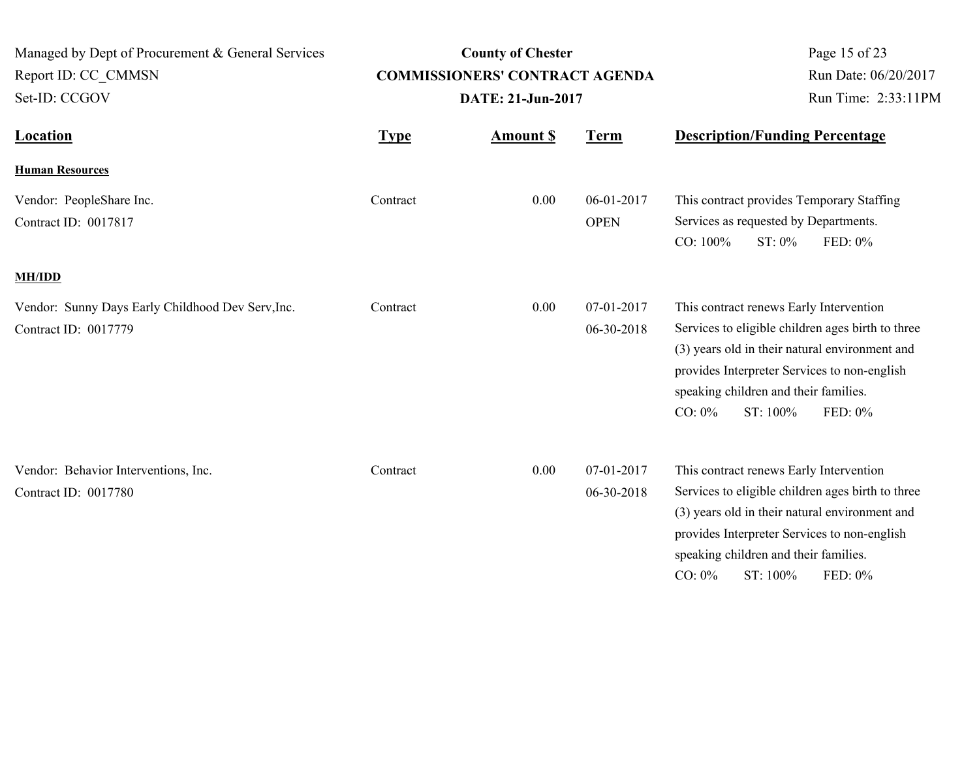| Managed by Dept of Procurement & General Services<br>Report ID: CC CMMSN<br>Set-ID: CCGOV | <b>County of Chester</b><br><b>COMMISSIONERS' CONTRACT AGENDA</b><br>DATE: 21-Jun-2017 |                  |                           | Page 15 of 23<br>Run Date: 06/20/2017<br>Run Time: 2:33:11PM                                                                                                                                                                                                     |         |
|-------------------------------------------------------------------------------------------|----------------------------------------------------------------------------------------|------------------|---------------------------|------------------------------------------------------------------------------------------------------------------------------------------------------------------------------------------------------------------------------------------------------------------|---------|
| <b>Location</b>                                                                           | <b>Type</b>                                                                            | <b>Amount \$</b> | <b>Term</b>               | <b>Description/Funding Percentage</b>                                                                                                                                                                                                                            |         |
| <b>Human Resources</b>                                                                    |                                                                                        |                  |                           |                                                                                                                                                                                                                                                                  |         |
| Vendor: PeopleShare Inc.<br>Contract ID: 0017817                                          | Contract                                                                               | 0.00             | 06-01-2017<br><b>OPEN</b> | This contract provides Temporary Staffing<br>Services as requested by Departments.<br>CO: 100%<br>ST: 0%                                                                                                                                                         | FED: 0% |
| <b>MH/IDD</b>                                                                             |                                                                                        |                  |                           |                                                                                                                                                                                                                                                                  |         |
| Vendor: Sunny Days Early Childhood Dev Serv, Inc.<br>Contract ID: 0017779                 | Contract                                                                               | 0.00             | 07-01-2017<br>06-30-2018  | This contract renews Early Intervention<br>Services to eligible children ages birth to three<br>(3) years old in their natural environment and<br>provides Interpreter Services to non-english<br>speaking children and their families.<br>ST: 100%<br>$CO: 0\%$ | FED: 0% |
| Vendor: Behavior Interventions, Inc.<br>Contract ID: 0017780                              | Contract                                                                               | 0.00             | 07-01-2017<br>06-30-2018  | This contract renews Early Intervention<br>Services to eligible children ages birth to three<br>(3) years old in their natural environment and<br>provides Interpreter Services to non-english<br>speaking children and their families.<br>ST: 100%<br>$CO: 0\%$ | FED: 0% |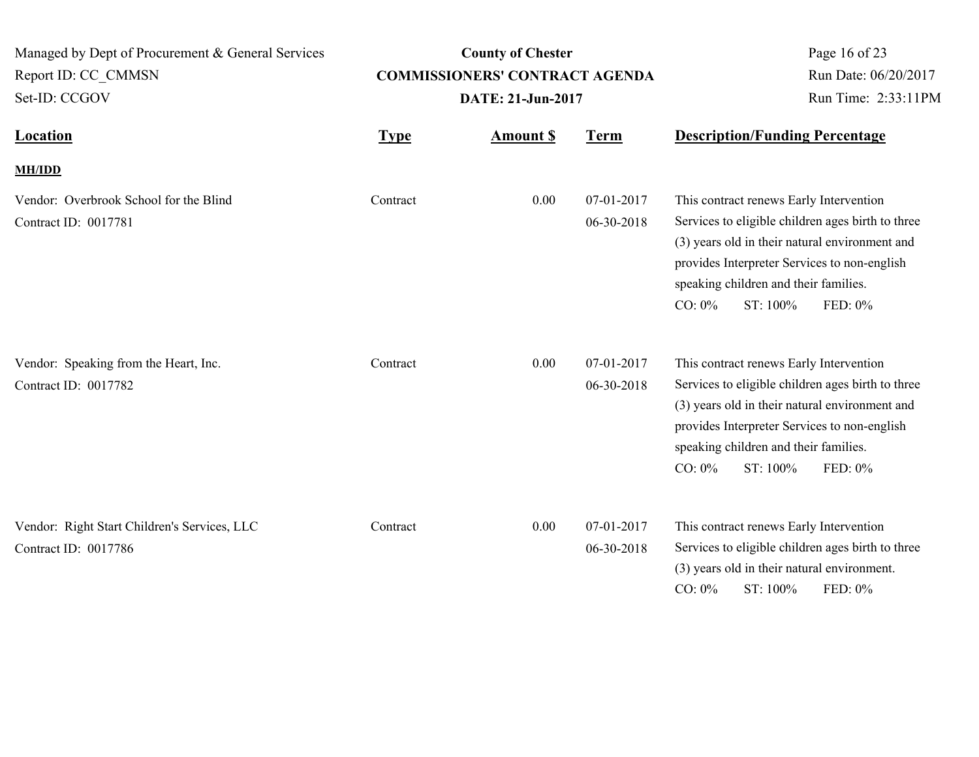| Managed by Dept of Procurement & General Services<br>Report ID: CC_CMMSN<br>Set-ID: CCGOV | <b>County of Chester</b><br><b>COMMISSIONERS' CONTRACT AGENDA</b><br>DATE: 21-Jun-2017 |                  |                          | Page 16 of 23<br>Run Date: 06/20/2017<br>Run Time: 2:33:11PM                                                                                                                                                                                                                |
|-------------------------------------------------------------------------------------------|----------------------------------------------------------------------------------------|------------------|--------------------------|-----------------------------------------------------------------------------------------------------------------------------------------------------------------------------------------------------------------------------------------------------------------------------|
| Location                                                                                  | <b>Type</b>                                                                            | <b>Amount \$</b> | <b>Term</b>              | <b>Description/Funding Percentage</b>                                                                                                                                                                                                                                       |
| <b>MH/IDD</b>                                                                             |                                                                                        |                  |                          |                                                                                                                                                                                                                                                                             |
| Vendor: Overbrook School for the Blind<br>Contract ID: 0017781                            | Contract                                                                               | 0.00             | 07-01-2017<br>06-30-2018 | This contract renews Early Intervention<br>Services to eligible children ages birth to three<br>(3) years old in their natural environment and<br>provides Interpreter Services to non-english<br>speaking children and their families.<br>$CO: 0\%$<br>ST: 100%<br>FED: 0% |
| Vendor: Speaking from the Heart, Inc.<br>Contract ID: 0017782                             | Contract                                                                               | 0.00             | 07-01-2017<br>06-30-2018 | This contract renews Early Intervention<br>Services to eligible children ages birth to three<br>(3) years old in their natural environment and<br>provides Interpreter Services to non-english<br>speaking children and their families.<br>$CO: 0\%$<br>ST: 100%<br>FED: 0% |
| Vendor: Right Start Children's Services, LLC<br>Contract ID: 0017786                      | Contract                                                                               | 0.00             | 07-01-2017<br>06-30-2018 | This contract renews Early Intervention<br>Services to eligible children ages birth to three<br>(3) years old in their natural environment.<br>CO: 0%<br>ST: 100%<br>FED: 0%                                                                                                |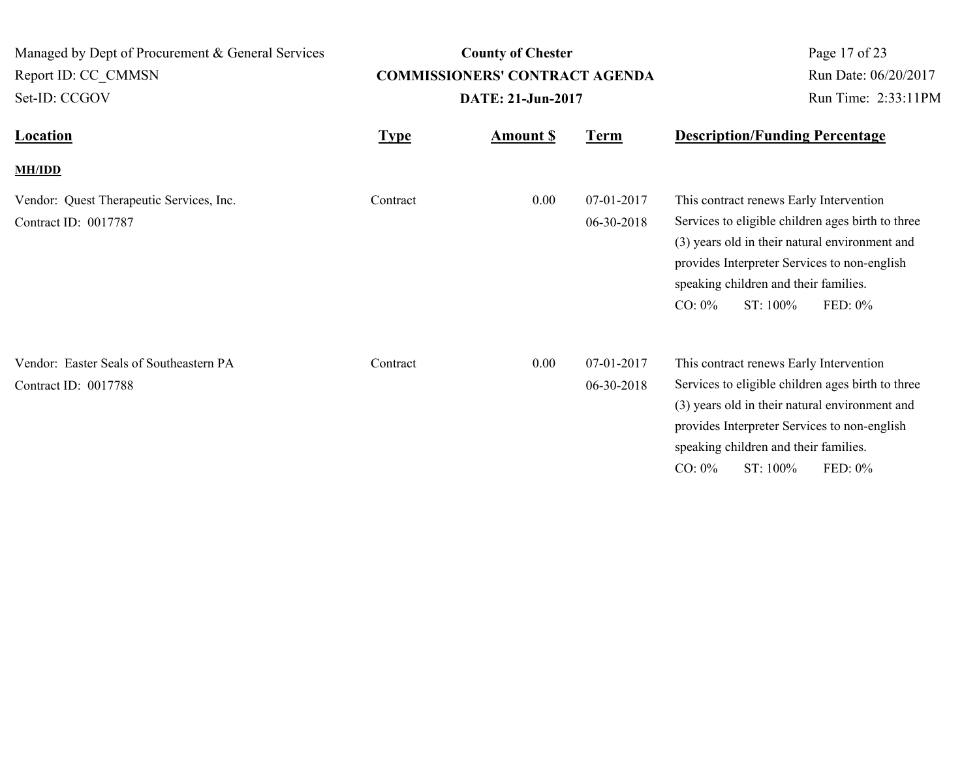| Managed by Dept of Procurement & General Services<br>Report ID: CC CMMSN<br>Set-ID: CCGOV | <b>County of Chester</b><br><b>COMMISSIONERS' CONTRACT AGENDA</b><br>DATE: 21-Jun-2017 |                 |                          | Page 17 of 23<br>Run Date: 06/20/2017<br>Run Time: 2:33:11PM                                                                                                                                                                                                                |  |
|-------------------------------------------------------------------------------------------|----------------------------------------------------------------------------------------|-----------------|--------------------------|-----------------------------------------------------------------------------------------------------------------------------------------------------------------------------------------------------------------------------------------------------------------------------|--|
| <b>Location</b>                                                                           | <b>Type</b>                                                                            | <b>Amount S</b> | <b>Term</b>              | <b>Description/Funding Percentage</b>                                                                                                                                                                                                                                       |  |
| <b>MH/IDD</b>                                                                             |                                                                                        |                 |                          |                                                                                                                                                                                                                                                                             |  |
| Vendor: Quest Therapeutic Services, Inc.<br>Contract ID: 0017787                          | Contract                                                                               | 0.00            | 07-01-2017<br>06-30-2018 | This contract renews Early Intervention<br>Services to eligible children ages birth to three<br>(3) years old in their natural environment and<br>provides Interpreter Services to non-english<br>speaking children and their families.<br>$CO: 0\%$<br>ST: 100%<br>FED: 0% |  |
| Vendor: Easter Seals of Southeastern PA<br>Contract ID: 0017788                           | Contract                                                                               | 0.00            | 07-01-2017<br>06-30-2018 | This contract renews Early Intervention<br>Services to eligible children ages birth to three<br>(3) years old in their natural environment and<br>provides Interpreter Services to non-english<br>speaking children and their families.<br>FED: 0%<br>$CO: 0\%$<br>ST: 100% |  |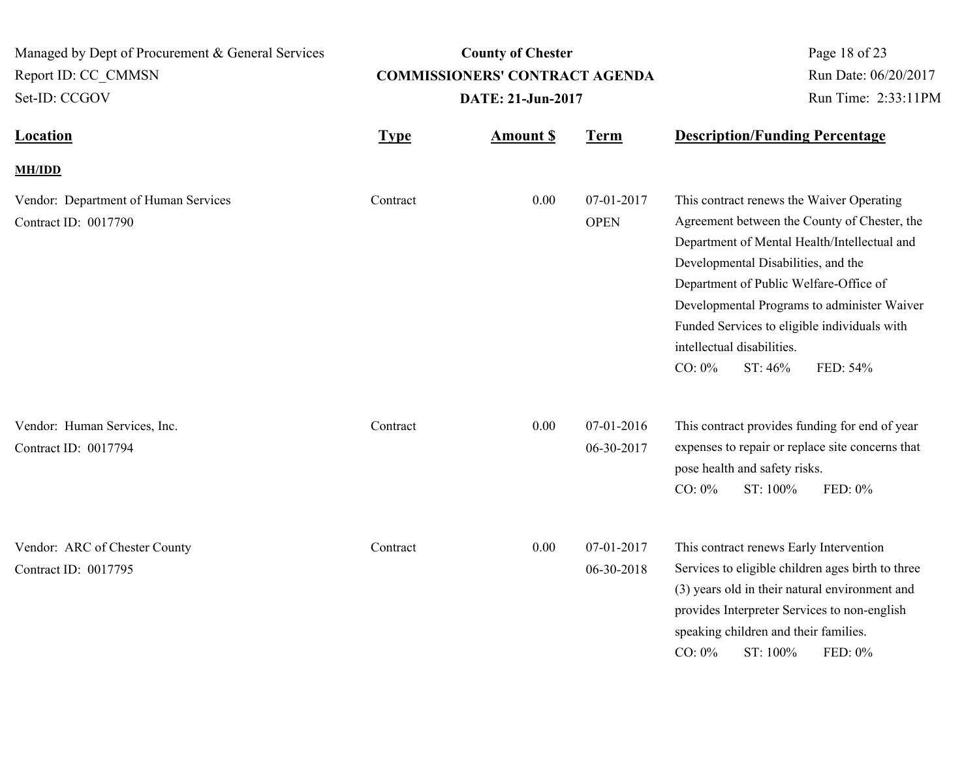| Managed by Dept of Procurement & General Services<br>Report ID: CC CMMSN<br>Set-ID: CCGOV | <b>County of Chester</b><br><b>COMMISSIONERS' CONTRACT AGENDA</b><br>DATE: 21-Jun-2017 |                 |                           | Page 18 of 23<br>Run Date: 06/20/2017<br>Run Time: 2:33:11PM                                                                                                                                                                                                                                                                                                                 |          |
|-------------------------------------------------------------------------------------------|----------------------------------------------------------------------------------------|-----------------|---------------------------|------------------------------------------------------------------------------------------------------------------------------------------------------------------------------------------------------------------------------------------------------------------------------------------------------------------------------------------------------------------------------|----------|
| <b>Location</b>                                                                           | <b>Type</b>                                                                            | <b>Amount S</b> | <b>Term</b>               | <b>Description/Funding Percentage</b>                                                                                                                                                                                                                                                                                                                                        |          |
| <b>MH/IDD</b>                                                                             |                                                                                        |                 |                           |                                                                                                                                                                                                                                                                                                                                                                              |          |
| Vendor: Department of Human Services<br>Contract ID: 0017790                              | Contract                                                                               | 0.00            | 07-01-2017<br><b>OPEN</b> | This contract renews the Waiver Operating<br>Agreement between the County of Chester, the<br>Department of Mental Health/Intellectual and<br>Developmental Disabilities, and the<br>Department of Public Welfare-Office of<br>Developmental Programs to administer Waiver<br>Funded Services to eligible individuals with<br>intellectual disabilities.<br>CO: 0%<br>ST: 46% | FED: 54% |
| Vendor: Human Services, Inc.<br>Contract ID: 0017794                                      | Contract                                                                               | 0.00            | 07-01-2016<br>06-30-2017  | This contract provides funding for end of year<br>expenses to repair or replace site concerns that<br>pose health and safety risks.<br>$CO: 0\%$<br>ST: 100%                                                                                                                                                                                                                 | FED: 0%  |
| Vendor: ARC of Chester County<br>Contract ID: 0017795                                     | Contract                                                                               | 0.00            | 07-01-2017<br>06-30-2018  | This contract renews Early Intervention<br>Services to eligible children ages birth to three<br>(3) years old in their natural environment and<br>provides Interpreter Services to non-english<br>speaking children and their families.<br>ST: 100%<br>$CO: 0\%$                                                                                                             | FED: 0%  |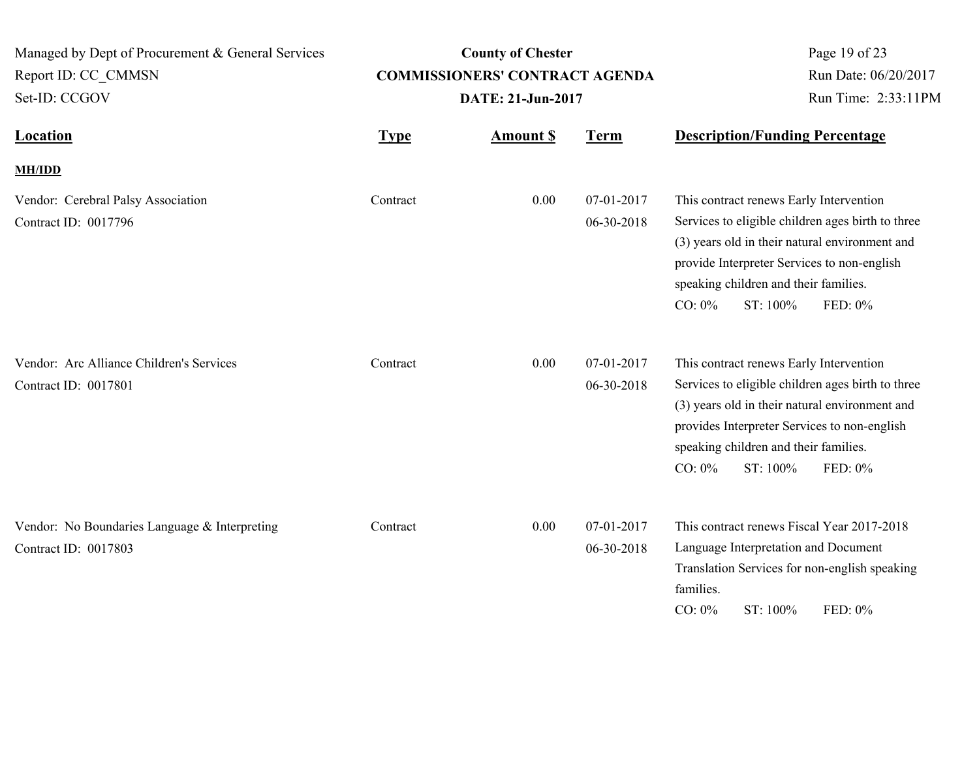| Managed by Dept of Procurement & General Services<br>Report ID: CC CMMSN<br>Set-ID: CCGOV | <b>County of Chester</b><br><b>COMMISSIONERS' CONTRACT AGENDA</b><br>DATE: 21-Jun-2017 |                  |                          | Page 19 of 23<br>Run Date: 06/20/2017<br>Run Time: 2:33:11PM                                                                                                                                                                                                                |
|-------------------------------------------------------------------------------------------|----------------------------------------------------------------------------------------|------------------|--------------------------|-----------------------------------------------------------------------------------------------------------------------------------------------------------------------------------------------------------------------------------------------------------------------------|
| <b>Location</b>                                                                           | <b>Type</b>                                                                            | <b>Amount \$</b> | <b>Term</b>              | <b>Description/Funding Percentage</b>                                                                                                                                                                                                                                       |
| <b>MH/IDD</b>                                                                             |                                                                                        |                  |                          |                                                                                                                                                                                                                                                                             |
| Vendor: Cerebral Palsy Association<br>Contract ID: 0017796                                | Contract                                                                               | 0.00             | 07-01-2017<br>06-30-2018 | This contract renews Early Intervention<br>Services to eligible children ages birth to three<br>(3) years old in their natural environment and<br>provide Interpreter Services to non-english<br>speaking children and their families.<br>ST: 100%<br>$CO: 0\%$<br>FED: 0%  |
| Vendor: Arc Alliance Children's Services<br>Contract ID: 0017801                          | Contract                                                                               | 0.00             | 07-01-2017<br>06-30-2018 | This contract renews Early Intervention<br>Services to eligible children ages birth to three<br>(3) years old in their natural environment and<br>provides Interpreter Services to non-english<br>speaking children and their families.<br>$CO: 0\%$<br>ST: 100%<br>FED: 0% |
| Vendor: No Boundaries Language & Interpreting<br>Contract ID: 0017803                     | Contract                                                                               | 0.00             | 07-01-2017<br>06-30-2018 | This contract renews Fiscal Year 2017-2018<br>Language Interpretation and Document<br>Translation Services for non-english speaking<br>families.<br>$CO: 0\%$<br>ST: 100%<br>FED: 0%                                                                                        |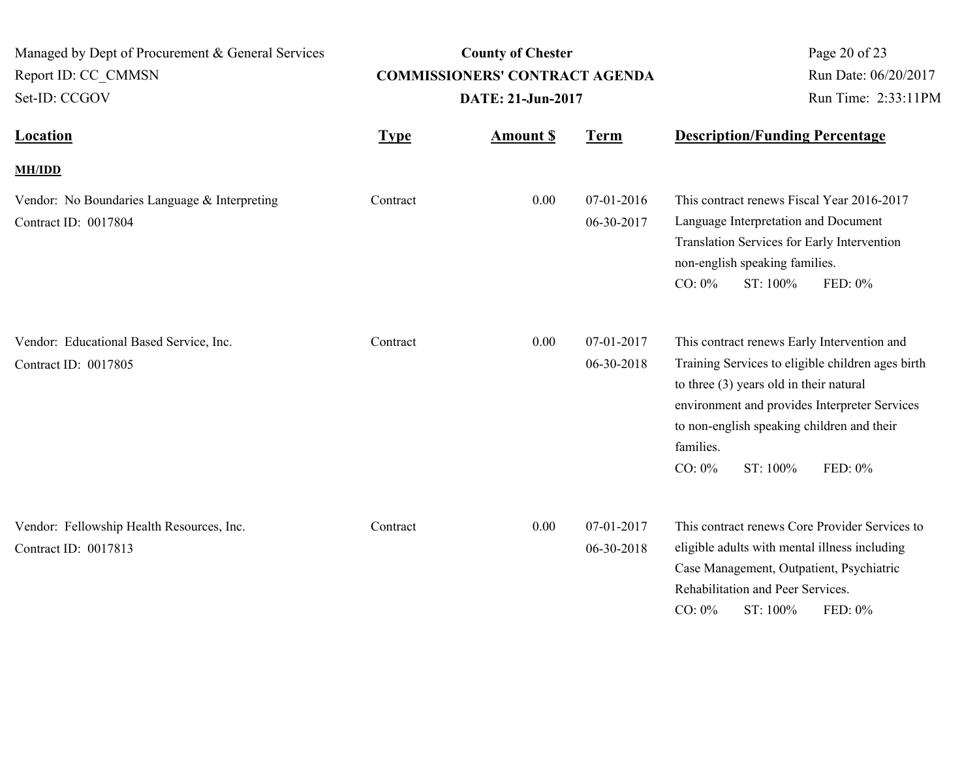| Managed by Dept of Procurement & General Services<br>Report ID: CC CMMSN<br>Set-ID: CCGOV |             | <b>County of Chester</b><br><b>COMMISSIONERS' CONTRACT AGENDA</b><br>DATE: 21-Jun-2017 | Page 20 of 23<br>Run Date: 06/20/2017<br>Run Time: 2:33:11PM |                                                                                                 |                                                                                                                                                                                                            |
|-------------------------------------------------------------------------------------------|-------------|----------------------------------------------------------------------------------------|--------------------------------------------------------------|-------------------------------------------------------------------------------------------------|------------------------------------------------------------------------------------------------------------------------------------------------------------------------------------------------------------|
| <b>Location</b>                                                                           | <b>Type</b> | <b>Amount \$</b>                                                                       | <b>Term</b>                                                  | <b>Description/Funding Percentage</b>                                                           |                                                                                                                                                                                                            |
| <b>MH/IDD</b>                                                                             |             |                                                                                        |                                                              |                                                                                                 |                                                                                                                                                                                                            |
| Vendor: No Boundaries Language & Interpreting<br>Contract ID: 0017804                     | Contract    | 0.00                                                                                   | 07-01-2016<br>06-30-2017                                     | Language Interpretation and Document<br>non-english speaking families.<br>$CO: 0\%$<br>ST: 100% | This contract renews Fiscal Year 2016-2017<br>Translation Services for Early Intervention<br>FED: 0%                                                                                                       |
| Vendor: Educational Based Service, Inc.<br>Contract ID: 0017805                           | Contract    | 0.00                                                                                   | 07-01-2017<br>06-30-2018                                     | to three $(3)$ years old in their natural<br>families.<br>$CO: 0\%$<br>ST: 100%                 | This contract renews Early Intervention and<br>Training Services to eligible children ages birth<br>environment and provides Interpreter Services<br>to non-english speaking children and their<br>FED: 0% |
| Vendor: Fellowship Health Resources, Inc.<br>Contract ID: 0017813                         | Contract    | 0.00                                                                                   | 07-01-2017<br>06-30-2018                                     | Rehabilitation and Peer Services.<br>CO: 0%<br>ST: 100%                                         | This contract renews Core Provider Services to<br>eligible adults with mental illness including<br>Case Management, Outpatient, Psychiatric<br>FED: 0%                                                     |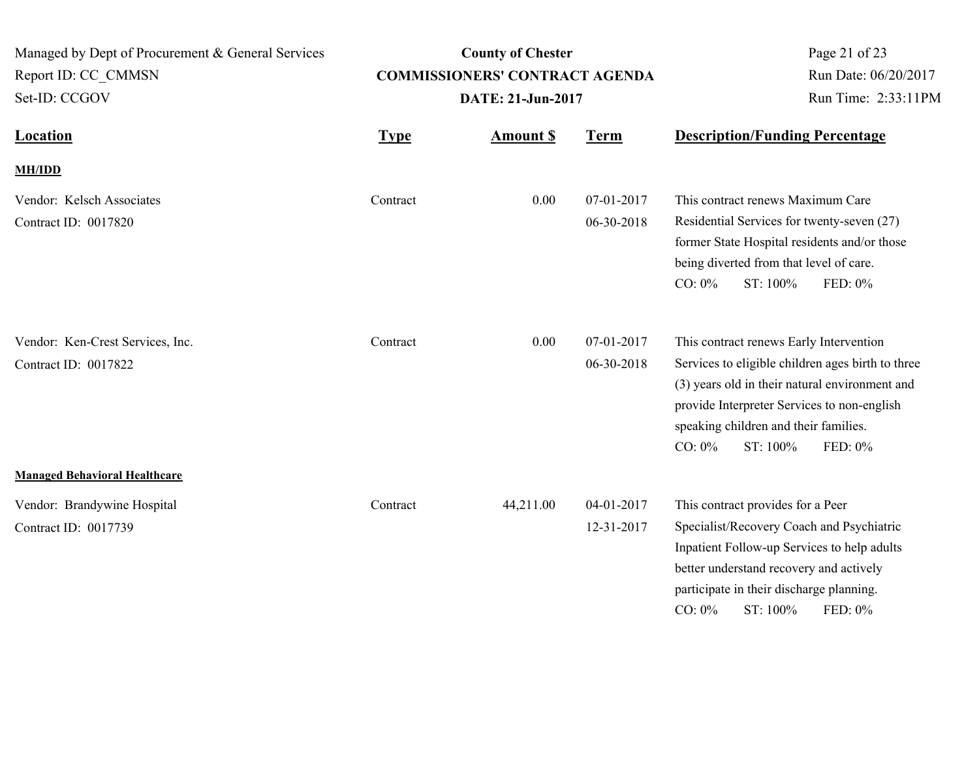| Managed by Dept of Procurement & General Services<br>Report ID: CC CMMSN<br>Set-ID: CCGOV | <b>County of Chester</b><br><b>COMMISSIONERS' CONTRACT AGENDA</b><br>DATE: 21-Jun-2017 |                  |                          | Page 21 of 23<br>Run Date: 06/20/2017<br>Run Time: 2:33:11PM                                                                                                                                                                                                               |
|-------------------------------------------------------------------------------------------|----------------------------------------------------------------------------------------|------------------|--------------------------|----------------------------------------------------------------------------------------------------------------------------------------------------------------------------------------------------------------------------------------------------------------------------|
| <b>Location</b>                                                                           | <b>Type</b>                                                                            | <b>Amount \$</b> | <b>Term</b>              | <b>Description/Funding Percentage</b>                                                                                                                                                                                                                                      |
| <b>MH/IDD</b>                                                                             |                                                                                        |                  |                          |                                                                                                                                                                                                                                                                            |
| Vendor: Kelsch Associates<br>Contract ID: 0017820                                         | Contract                                                                               | 0.00             | 07-01-2017<br>06-30-2018 | This contract renews Maximum Care<br>Residential Services for twenty-seven (27)<br>former State Hospital residents and/or those<br>being diverted from that level of care.<br>$CO: 0\%$<br>ST: 100%<br>FED: 0%                                                             |
| Vendor: Ken-Crest Services, Inc.<br>Contract ID: 0017822                                  | Contract                                                                               | 0.00             | 07-01-2017<br>06-30-2018 | This contract renews Early Intervention<br>Services to eligible children ages birth to three<br>(3) years old in their natural environment and<br>provide Interpreter Services to non-english<br>speaking children and their families.<br>$CO: 0\%$<br>ST: 100%<br>FED: 0% |
| <b>Managed Behavioral Healthcare</b>                                                      |                                                                                        |                  |                          |                                                                                                                                                                                                                                                                            |
| Vendor: Brandywine Hospital<br>Contract ID: 0017739                                       | Contract                                                                               | 44,211.00        | 04-01-2017<br>12-31-2017 | This contract provides for a Peer<br>Specialist/Recovery Coach and Psychiatric<br>Inpatient Follow-up Services to help adults<br>better understand recovery and actively<br>participate in their discharge planning.<br>$CO: 0\%$<br>ST: 100%<br>FED: 0%                   |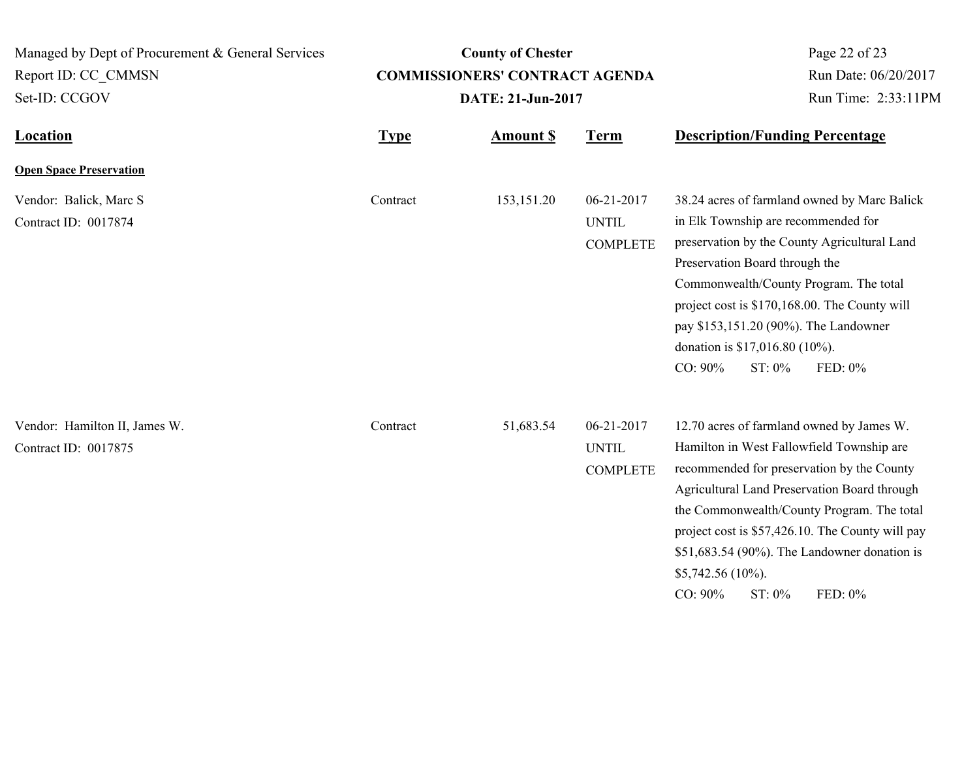| Managed by Dept of Procurement & General Services     |             | Page 22 of 23                         |                                               |                                                                                                                                                                                                                                                                                                                                                                                                |  |
|-------------------------------------------------------|-------------|---------------------------------------|-----------------------------------------------|------------------------------------------------------------------------------------------------------------------------------------------------------------------------------------------------------------------------------------------------------------------------------------------------------------------------------------------------------------------------------------------------|--|
| Report ID: CC CMMSN                                   |             | <b>COMMISSIONERS' CONTRACT AGENDA</b> | Run Date: 06/20/2017                          |                                                                                                                                                                                                                                                                                                                                                                                                |  |
| Set-ID: CCGOV                                         |             | DATE: 21-Jun-2017                     |                                               | Run Time: 2:33:11PM                                                                                                                                                                                                                                                                                                                                                                            |  |
| <b>Location</b>                                       | <b>Type</b> | <b>Amount S</b>                       | <b>Term</b>                                   | <b>Description/Funding Percentage</b>                                                                                                                                                                                                                                                                                                                                                          |  |
| <b>Open Space Preservation</b>                        |             |                                       |                                               |                                                                                                                                                                                                                                                                                                                                                                                                |  |
| Vendor: Balick, Marc S<br>Contract ID: 0017874        | Contract    | 153, 151. 20                          | 06-21-2017<br><b>UNTIL</b><br><b>COMPLETE</b> | 38.24 acres of farmland owned by Marc Balick<br>in Elk Township are recommended for<br>preservation by the County Agricultural Land<br>Preservation Board through the<br>Commonwealth/County Program. The total<br>project cost is \$170,168.00. The County will<br>pay \$153,151.20 (90%). The Landowner<br>donation is \$17,016.80 (10%).<br>CO: 90%<br>FED: 0%<br>$ST: 0\%$                 |  |
| Vendor: Hamilton II, James W.<br>Contract ID: 0017875 | Contract    | 51,683.54                             | 06-21-2017<br><b>UNTIL</b><br><b>COMPLETE</b> | 12.70 acres of farmland owned by James W.<br>Hamilton in West Fallowfield Township are<br>recommended for preservation by the County<br>Agricultural Land Preservation Board through<br>the Commonwealth/County Program. The total<br>project cost is \$57,426.10. The County will pay<br>$$51,683.54$ (90%). The Landowner donation is<br>$$5,742.56(10\%)$ .<br>CO: 90%<br>ST: 0%<br>FED: 0% |  |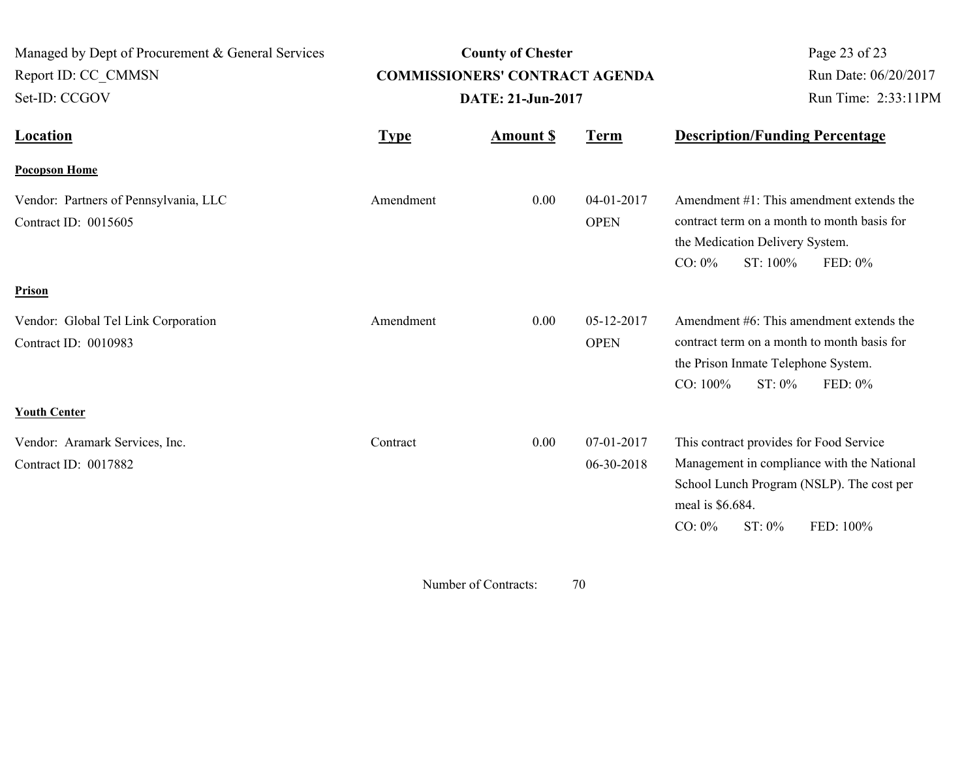| Managed by Dept of Procurement & General Services<br>Report ID: CC_CMMSN<br>Set-ID: CCGOV |             | <b>County of Chester</b><br><b>COMMISSIONERS' CONTRACT AGENDA</b><br>DATE: 21-Jun-2017 | Page 23 of 23<br>Run Date: 06/20/2017<br>Run Time: 2:33:11PM |                                                                                                                                                                                            |
|-------------------------------------------------------------------------------------------|-------------|----------------------------------------------------------------------------------------|--------------------------------------------------------------|--------------------------------------------------------------------------------------------------------------------------------------------------------------------------------------------|
| <b>Location</b>                                                                           | <b>Type</b> | <b>Amount \$</b>                                                                       | <u>Term</u>                                                  | <b>Description/Funding Percentage</b>                                                                                                                                                      |
| <b>Pocopson Home</b>                                                                      |             |                                                                                        |                                                              |                                                                                                                                                                                            |
| Vendor: Partners of Pennsylvania, LLC<br>Contract ID: 0015605                             | Amendment   | 0.00                                                                                   | 04-01-2017<br><b>OPEN</b>                                    | Amendment #1: This amendment extends the<br>contract term on a month to month basis for<br>the Medication Delivery System.<br>$CO: 0\%$<br>ST: 100%<br>FED: 0%                             |
| Prison                                                                                    |             |                                                                                        |                                                              |                                                                                                                                                                                            |
| Vendor: Global Tel Link Corporation<br>Contract ID: 0010983                               | Amendment   | 0.00                                                                                   | 05-12-2017<br><b>OPEN</b>                                    | Amendment #6: This amendment extends the<br>contract term on a month to month basis for<br>the Prison Inmate Telephone System.<br>CO: 100%<br>ST: 0%<br>FED: 0%                            |
| <b>Youth Center</b>                                                                       |             |                                                                                        |                                                              |                                                                                                                                                                                            |
| Vendor: Aramark Services, Inc.<br>Contract ID: 0017882                                    | Contract    | 0.00                                                                                   | 07-01-2017<br>06-30-2018                                     | This contract provides for Food Service<br>Management in compliance with the National<br>School Lunch Program (NSLP). The cost per<br>meal is \$6.684.<br>ST: 0%<br>FED: 100%<br>$CO: 0\%$ |

Number of Contracts:  $70$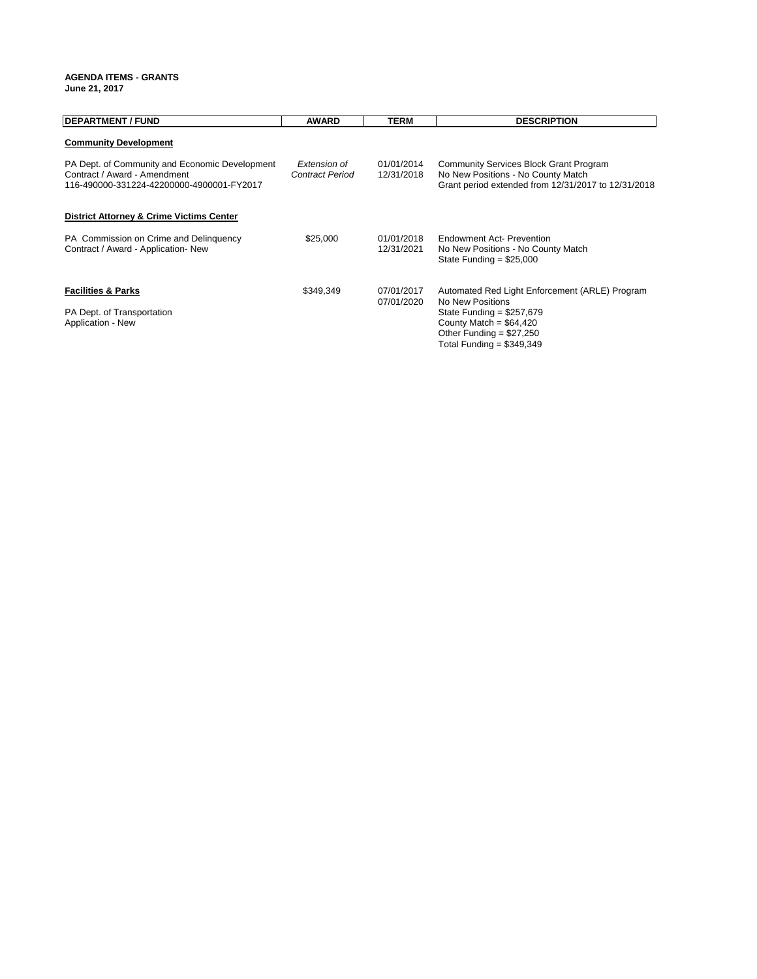#### **AGENDA ITEMS - GRANTS June 21, 2017**

| <b>DEPARTMENT / FUND</b>                                                                                                    | <b>AWARD</b>                           | <b>TERM</b>              | <b>DESCRIPTION</b>                                                                                                                         |
|-----------------------------------------------------------------------------------------------------------------------------|----------------------------------------|--------------------------|--------------------------------------------------------------------------------------------------------------------------------------------|
| <b>Community Development</b>                                                                                                |                                        |                          |                                                                                                                                            |
| PA Dept. of Community and Economic Development<br>Contract / Award - Amendment<br>116-490000-331224-42200000-4900001-FY2017 | Extension of<br><b>Contract Period</b> | 01/01/2014<br>12/31/2018 | <b>Community Services Block Grant Program</b><br>No New Positions - No County Match<br>Grant period extended from 12/31/2017 to 12/31/2018 |
| <b>District Attorney &amp; Crime Victims Center</b>                                                                         |                                        |                          |                                                                                                                                            |
| PA Commission on Crime and Delinguency<br>Contract / Award - Application- New                                               | \$25,000                               | 01/01/2018<br>12/31/2021 | <b>Endowment Act- Prevention</b><br>No New Positions - No County Match<br>State Funding = $$25,000$                                        |
| <b>Facilities &amp; Parks</b>                                                                                               | \$349,349                              | 07/01/2017<br>07/01/2020 | Automated Red Light Enforcement (ARLE) Program<br>No New Positions                                                                         |
| PA Dept. of Transportation<br>Application - New                                                                             |                                        |                          | State Funding = $$257,679$<br>County Match = $$64,420$<br>Other Funding = $$27,250$<br>Total Funding = $$349,349$                          |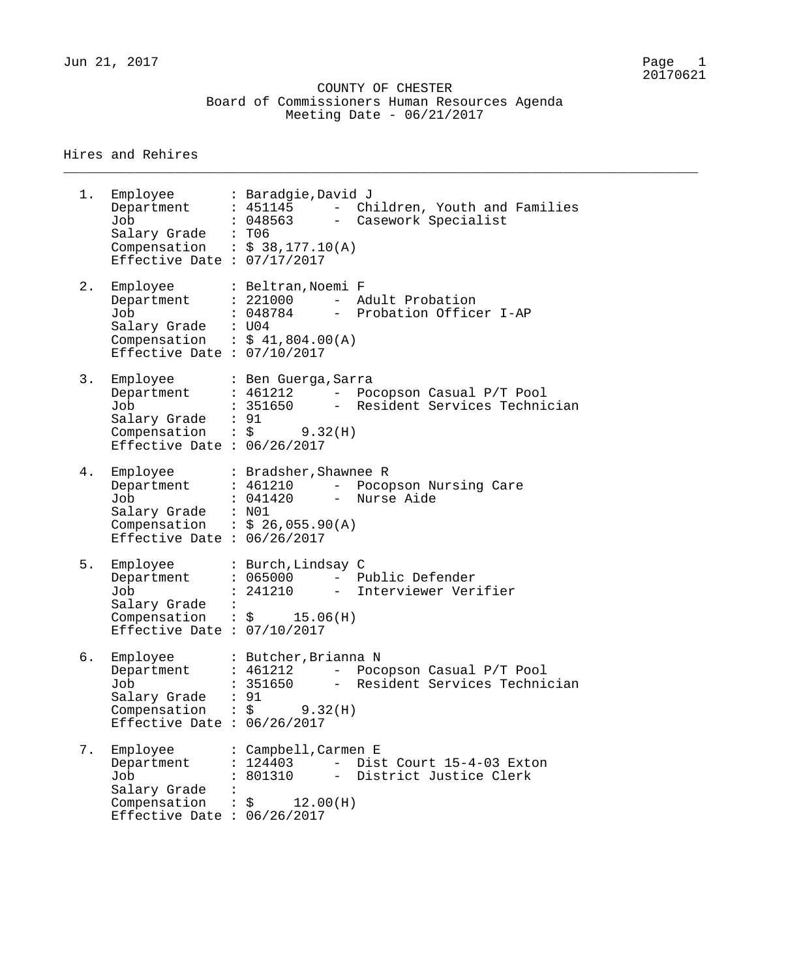Jun 21, 2017 Page 1

 COUNTY OF CHESTER Board of Commissioners Human Resources Agenda Meeting Date - 06/21/2017

\_\_\_\_\_\_\_\_\_\_\_\_\_\_\_\_\_\_\_\_\_\_\_\_\_\_\_\_\_\_\_\_\_\_\_\_\_\_\_\_\_\_\_\_\_\_\_\_\_\_\_\_\_\_\_\_\_\_\_\_\_\_\_\_\_\_\_\_\_\_\_\_\_\_\_\_\_\_\_\_

#### Hires and Rehires

1. Employee : Baradgie,David J Department : 451145 - Children, Youth and Families Job : 048563 - Casework Specialist Salary Grade : T06 Compensation :  $$38,177.10(A)$ Effective Date : 07/17/2017 2. Employee : Beltran, Noemi F Department : 221000 - Adult Probation Job : 048784 - Probation Officer I-AP Salary Grade : U04 Compensation :  $$41,804.00(A)$ Effective Date : 07/10/2017 3. Employee : Ben Guerga,Sarra Department : 461212 - Pocopson Casual P/T Pool Job : 351650 - Resident Services Technician Salary Grade : 91 Compensation :  $\zeta$  9.32(H) Effective Date : 06/26/2017 4. Employee : Bradsher,Shawnee R Department : 461210 - Pocopson Nursing Care Job : 041420 - Nurse Aide Salary Grade : N01 Compensation :  $$26,055.90(A)$ Effective Date : 06/26/2017 5. Employee : Burch,Lindsay C Department : 065000 - Public Defender Job : 241210 - Interviewer Verifier Salary Grade : Compensation :  $\zeta$  15.06(H) Effective Date : 07/10/2017 6. Employee : Butcher,Brianna N Department : 461212 - Pocopson Casual P/T Pool Job : 351650 - Resident Services Technician Salary Grade : 91  $\texttt{Compensation}$  :  $\zeta$  9.32(H) Effective Date : 06/26/2017 7. Employee : Campbell,Carmen E<br>Department : 124403 - Dis Department : 124403 - Dist Court 15-4-03 Exton Job : 801310 - District Justice Clerk Salary Grade :<br>Compensation :  $\therefore$  \$ 12.00 (H) Effective Date : 06/26/2017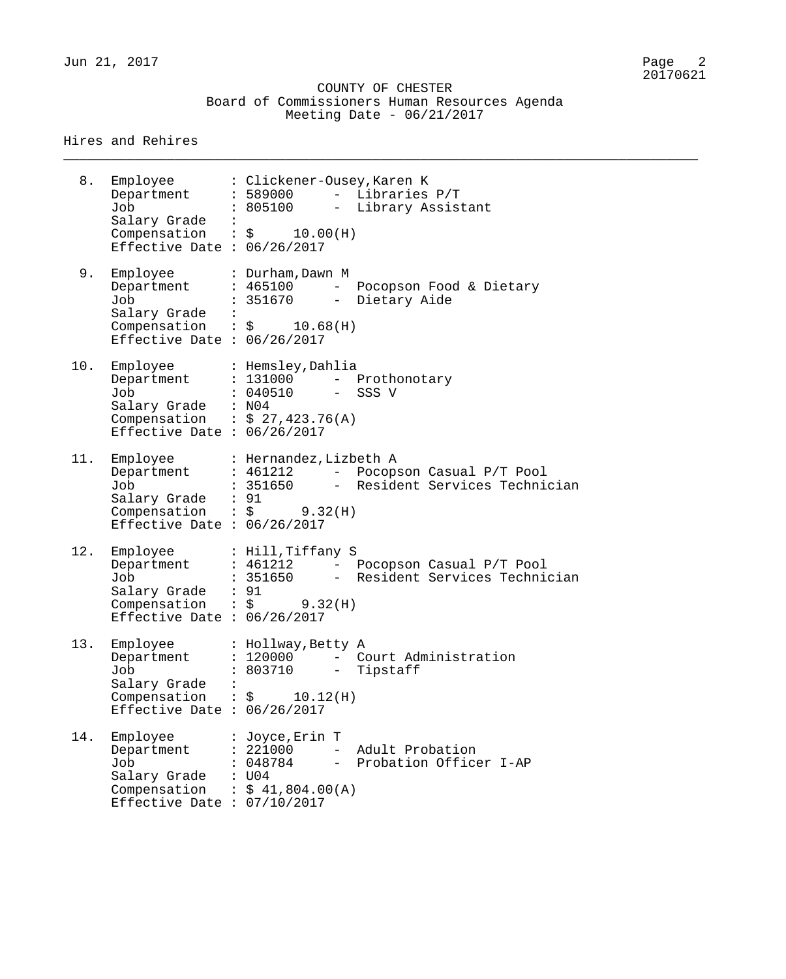#### COUNTY OF CHESTER Board of Commissioners Human Resources Agenda Meeting Date - 06/21/2017

\_\_\_\_\_\_\_\_\_\_\_\_\_\_\_\_\_\_\_\_\_\_\_\_\_\_\_\_\_\_\_\_\_\_\_\_\_\_\_\_\_\_\_\_\_\_\_\_\_\_\_\_\_\_\_\_\_\_\_\_\_\_\_\_\_\_\_\_\_\_\_\_\_\_\_\_\_\_\_\_

| 8.  | Employee<br>Department<br>Job<br>Salary Grade :<br>Compensation : $\zeta$ 10.00(H)<br>Effective Date : $06/26/2017$ | : Clickener-Ousey, Karen K<br>$: 589000$ - Libraries $P/T$<br>: 805100 - Library Assistant                                                           |
|-----|---------------------------------------------------------------------------------------------------------------------|------------------------------------------------------------------------------------------------------------------------------------------------------|
| 9.  | Employee<br>Department<br>Job<br>Salary Grade :<br>Effective Date : $06/26/2017$                                    | : Durham, Dawn M<br>: 465100 - Pocopson Food & Dietary<br>: 351670 - Dietary Aide<br>Compensation : $\sin 10.68$ (H)                                 |
| 10. | Employee<br>Job<br>Salary Grade : N04<br>Compensation : $$27,423.76(A)$<br>Effective Date : $06/26/2017$            | : Hemsley,Dahlia<br>Department : 131000 - Prothonotary<br>: 040510 - SSS V                                                                           |
| 11. | Employee<br>Department<br>Job<br>Salary Grade : 91<br>Effective Date : $06/26/2017$                                 | : Hernandez, Lizbeth A<br>: 461212 - Pocopson Casual P/T Pool<br>: 351650             Resident Services Technician<br>Compensation : $\zeta$ 9.32(H) |
| 12. | Employee<br>Department<br>Job<br>Salary Grade : 91<br>Effective Date : $06/26/2017$                                 | : Hill, Tiffany S<br>: 461212 - Pocopson Casual P/T Pool<br>: 351650 - Resident Services Technician<br>Compensation : $\frac{1}{5}$ 9.32(H)          |
| 13. | Employee<br>Department<br>Job<br>Salary Grade<br>Compensation<br>Effective Date : $06/26/2017$                      | : Hollway, Betty A<br>: 120000 - Court Administration<br>803710<br>- Tipstaff<br>10.12(H)<br>$\mathbf{.}$ \$                                         |
| 14. | Employee<br>Department<br>Job<br>Salary Grade<br>Compensation<br>Effective Date : $07/10/2017$                      | : Joyce, Erin T<br>Adult Probation<br>: 221000<br>$-$<br>048784<br>Probation Officer I-AP<br>$-$<br>U04<br>: \$41,804.00(A)                          |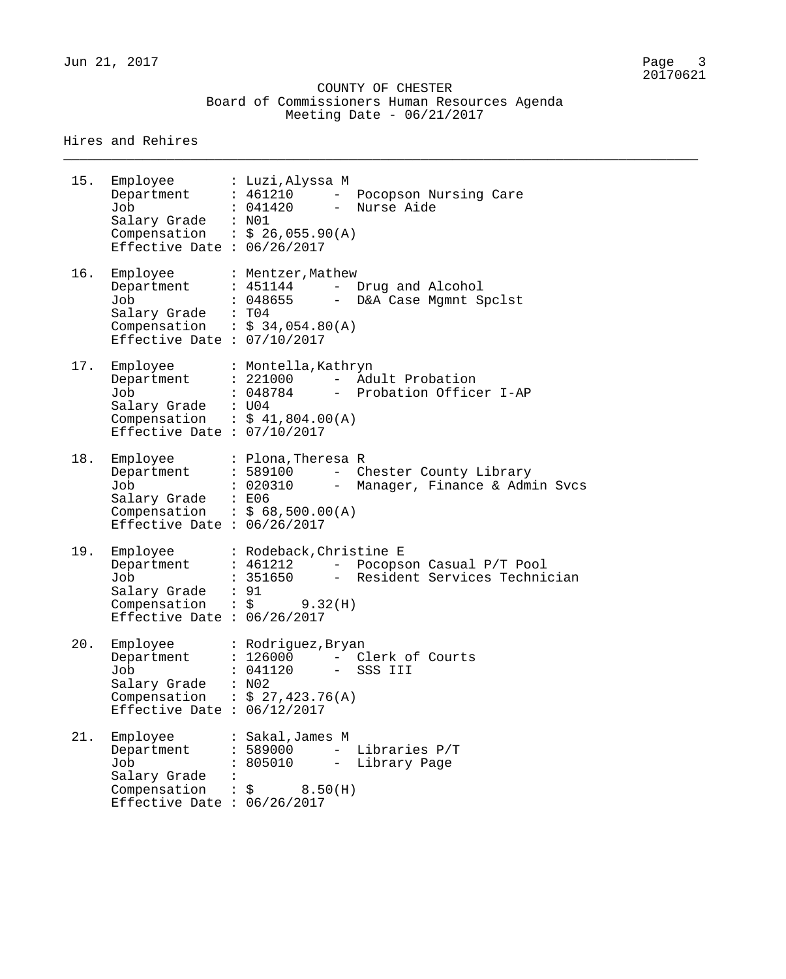#### COUNTY OF CHESTER Board of Commissioners Human Resources Agenda Meeting Date - 06/21/2017

\_\_\_\_\_\_\_\_\_\_\_\_\_\_\_\_\_\_\_\_\_\_\_\_\_\_\_\_\_\_\_\_\_\_\_\_\_\_\_\_\_\_\_\_\_\_\_\_\_\_\_\_\_\_\_\_\_\_\_\_\_\_\_\_\_\_\_\_\_\_\_\_\_\_\_\_\_\_\_\_

| 15. | Employee : Luzi, Alyssa M<br>Job<br>Salary Grade : N01<br>Effective Date : $06/26/2017$        | Department : 461210 - Pocopson Nursing Care<br>: 041420<br>- Nurse Aide<br>Compensation : $$ 26,055.90(A)$                                                 |
|-----|------------------------------------------------------------------------------------------------|------------------------------------------------------------------------------------------------------------------------------------------------------------|
| 16. | Job<br>Salary Grade : T04<br>Effective Date : $07/10/2017$                                     | Employee : Mentzer, Mathew<br>Department : 451144 - Drug and Alcohol<br>: 048655 - D&A Case Mgmnt Spclst<br>Compensation : $$34,054.80(A)$                 |
| 17. | Job<br>Salary Grade : U04<br>Effective Date : $07/10/2017$                                     | Employee : Montella, Kathryn<br>Department : 221000 - Adult Probation<br>- Probation Officer I-AP<br>: 048784<br>Compensation : $$ 41,804.00(A)$           |
| 18. | Job<br>Salary Grade : E06<br>Effective Date : $06/26/2017$                                     | Employee : Plona, Theresa R<br>Department : 589100 - Chester County Library<br>: 020310 - Manager, Finance & Admin Svcs<br>Compensation : $$ 68,500.00(A)$ |
| 19. | Employee<br>Department<br>Job<br>Salary Grade : 91<br>Effective Date : $06/26/2017$            | : Rodeback, Christine E<br>: 461212 - Pocopson Casual P/T Pool<br>: 351650 - Resident Services Technician<br>Compensation : $\frac{1}{2}$ 9.32(H)          |
| 20. | Department<br>Job<br>Salary Grade<br>Effective Date : $06/12/2017$                             | Employee : Rodriguez, Bryan<br>: 126000<br>- Clerk of Courts<br>: 041120<br>- SSS III<br>: N02<br>Compensation : $$27,423.76(A)$                           |
| 21. | Employee<br>Department<br>Job<br>Salary Grade<br>Compensation<br>Effective Date : $06/26/2017$ | Sakal,James M<br>- Libraries P/T<br>: 589000<br>805010<br>Library Page<br>$ -$<br>8.50(H)<br>\$                                                            |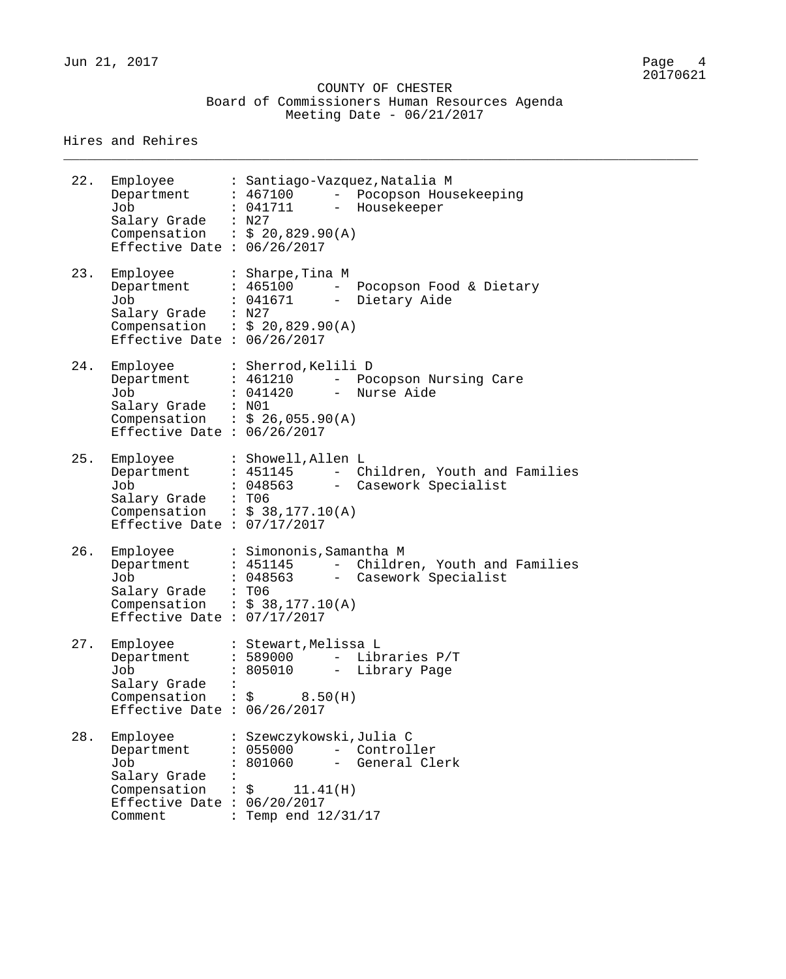#### COUNTY OF CHESTER Board of Commissioners Human Resources Agenda Meeting Date - 06/21/2017

\_\_\_\_\_\_\_\_\_\_\_\_\_\_\_\_\_\_\_\_\_\_\_\_\_\_\_\_\_\_\_\_\_\_\_\_\_\_\_\_\_\_\_\_\_\_\_\_\_\_\_\_\_\_\_\_\_\_\_\_\_\_\_\_\_\_\_\_\_\_\_\_\_\_\_\_\_\_\_\_

| 22. | Employee<br>Job<br>Salary Grade : N27<br>Compensation : $$20,829.90(A)$<br>Effective Date : $06/26/2017$  |                      | : Santiago-Vazquez, Natalia M<br>Department : 467100 - Pocopson Housekeeping<br>: 041711 - Housekeeper                                              |
|-----|-----------------------------------------------------------------------------------------------------------|----------------------|-----------------------------------------------------------------------------------------------------------------------------------------------------|
| 23. | Employee<br>Department<br>Job<br>Salary Grade : N27<br>Effective Date : $06/26/2017$                      |                      | : Sharpe,Tina M<br>: 465100 - Pocopson Food & Dietary<br>: 041671 - Dietary Aide<br>Compensation : $$20,829.90(A)$                                  |
| 24. | Employee<br>Job<br>Salary Grade : N01<br>Effective Date : $06/26/2017$                                    |                      | : Sherrod, Kelili D<br>Department : 461210 - Pocopson Nursing Care<br>: 041420 - Nurse Aide<br>Compensation : $$26,055.90(A)$                       |
| 25. | Employee<br>Job<br>Salary Grade : T06<br>Compensation : $$38,177.10(A)$<br>Effective Date : $07/17/2017$  |                      | : Showell, Allen L<br>Department : 451145 - Children, Youth and Families<br>: 048563 - Casework Specialist                                          |
| 26. | Employee<br>Job<br>Salary Grade : T06<br>Compensation : $$38,177.10(A)$<br>Effective Date : $07/17/2017$  |                      | : Simononis, Samantha M<br>Department : 451145 - Children, Youth and Families<br>: 048563 - Casework Specialist                                     |
| 27. | Employee<br>Department<br>Job<br>Salary Grade<br>Compensation : \$<br>Effective Date : $06/26/2017$       |                      | : Stewart, Melissa L<br>Libraries P/T<br>: 589000<br>$\mathcal{L}_{\text{max}}$ and $\mathcal{L}_{\text{max}}$<br>805010<br>Library Page<br>8.50(H) |
| 28. | Employee<br>Department<br>Job<br>Salary Grade<br>Compensation<br>Effective Date : $06/20/2017$<br>Comment | $\ddot{\phantom{0}}$ | : Szewczykowski,Julia C<br>: 055000<br>- Controller<br>801060<br>- General Clerk<br>$:$ $\zeta$<br>11.41(H)<br>Temp end 12/31/17                    |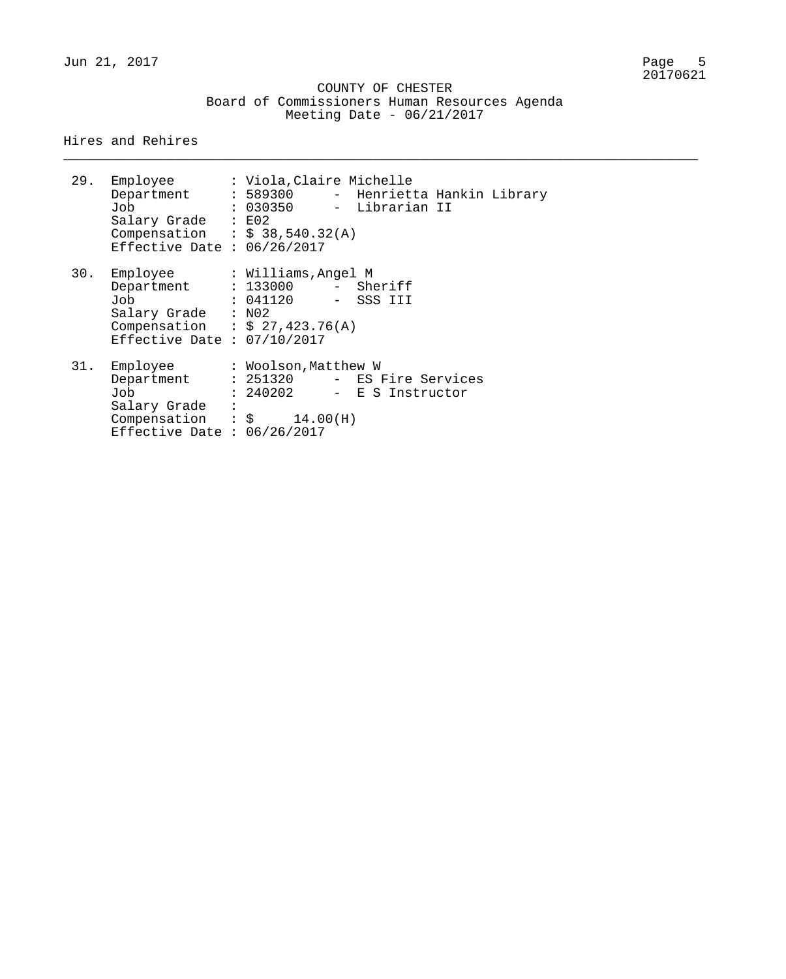\_\_\_\_\_\_\_\_\_\_\_\_\_\_\_\_\_\_\_\_\_\_\_\_\_\_\_\_\_\_\_\_\_\_\_\_\_\_\_\_\_\_\_\_\_\_\_\_\_\_\_\_\_\_\_\_\_\_\_\_\_\_\_\_\_\_\_\_\_\_\_\_\_\_\_\_\_\_\_\_

|     | 29. Employee<br>Department : 589300 - Henrietta Hankin Library<br>Job<br>Salary Grade : E02<br>Compensation : $$38,540.32(A)$<br>Effective Date : $06/26/2017$ | : Viola,Claire Michelle<br>: 030350 - Librarian II |  |  |
|-----|----------------------------------------------------------------------------------------------------------------------------------------------------------------|----------------------------------------------------|--|--|
| 30. | Employee<br>Department : 133000 - Sheriff<br>Job : 041120 - SSS III<br>Salary Grade : N02<br>Compensation : $$ 27,423.76(A)$<br>Effective Date : $07/10/2017$  | : Williams, Angel M                                |  |  |
|     | 31. Employee<br>Department : 251320 - ES Fire Services<br>Job<br>Salary Grade :<br>Compensation : $\sin 14.00(H)$<br>Effective Date : $06/26/2017$             | : Woolson,Matthew W<br>: 240202 - E S Instructor   |  |  |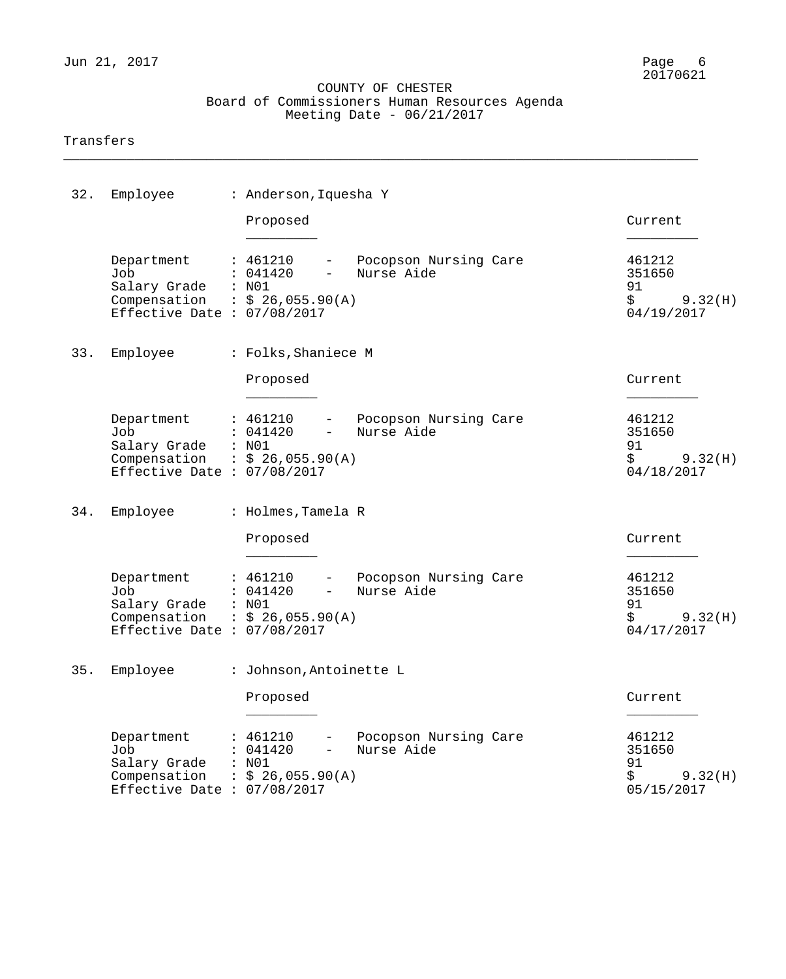\_\_\_\_\_\_\_\_\_\_\_\_\_\_\_\_\_\_\_\_\_\_\_\_\_\_\_\_\_\_\_\_\_\_\_\_\_\_\_\_\_\_\_\_\_\_\_\_\_\_\_\_\_\_\_\_\_\_\_\_\_\_\_\_\_\_\_\_\_\_\_\_\_\_\_\_\_\_\_\_

#### Transfers

| 32. | Employee                                                                                             | : Anderson, Iquesha Y                                                                                                                   |                                                       |
|-----|------------------------------------------------------------------------------------------------------|-----------------------------------------------------------------------------------------------------------------------------------------|-------------------------------------------------------|
|     |                                                                                                      | Proposed                                                                                                                                | Current                                               |
|     | Department<br>Job<br>Salary Grade<br>Compensation<br>Effective Date : $07/08/2017$                   | Pocopson Nursing Care<br>: 461210<br>$-$<br>: 041420<br>Nurse Aide<br>$\overline{\phantom{a}}$<br>: N01<br>$\therefore$ \$ 26,055.90(A) | 461212<br>351650<br>91<br>\$<br>9.32(H)<br>04/19/2017 |
| 33. | Employee                                                                                             | : Folks, Shaniece M                                                                                                                     |                                                       |
|     |                                                                                                      | Proposed                                                                                                                                | Current                                               |
|     | Department<br>Job<br>Salary Grade<br>Compensation : $$26,055.90(A)$<br>Effective Date : $07/08/2017$ | - Pocopson Nursing Care<br>: 461210<br>: 041420<br>Nurse Aide<br>$\frac{1}{2}$ and $\frac{1}{2}$<br>: N01                               | 461212<br>351650<br>91<br>\$<br>9.32(H)<br>04/18/2017 |
| 34. | Employee                                                                                             | : Holmes, Tamela R                                                                                                                      |                                                       |
|     |                                                                                                      | Proposed                                                                                                                                | Current                                               |
|     | Department<br>Job<br>Salary Grade<br>Compensation<br>Effective Date : $07/08/2017$                   | - Pocopson Nursing Care<br>: 461210<br>: 041420<br>Nurse Aide<br>$ -$<br>: N01<br>$\therefore$ \$ 26,055.90(A)                          | 461212<br>351650<br>91<br>\$<br>9.32(H)<br>04/17/2017 |
| 35. | Employee                                                                                             | : Johnson, Antoinette L                                                                                                                 |                                                       |
|     |                                                                                                      | Proposed                                                                                                                                | Current                                               |
|     | Department<br>Job<br>Salary Grade<br>Compensation<br>Effective Date : $07/08/2017$                   | Pocopson Nursing Care<br>: 461210<br>Nurse Aide<br>: 041420<br>$-$<br>: N01<br>$:$ \$ 26,055.90(A)                                      | 461212<br>351650<br>91<br>\$<br>9.32(H)<br>05/15/2017 |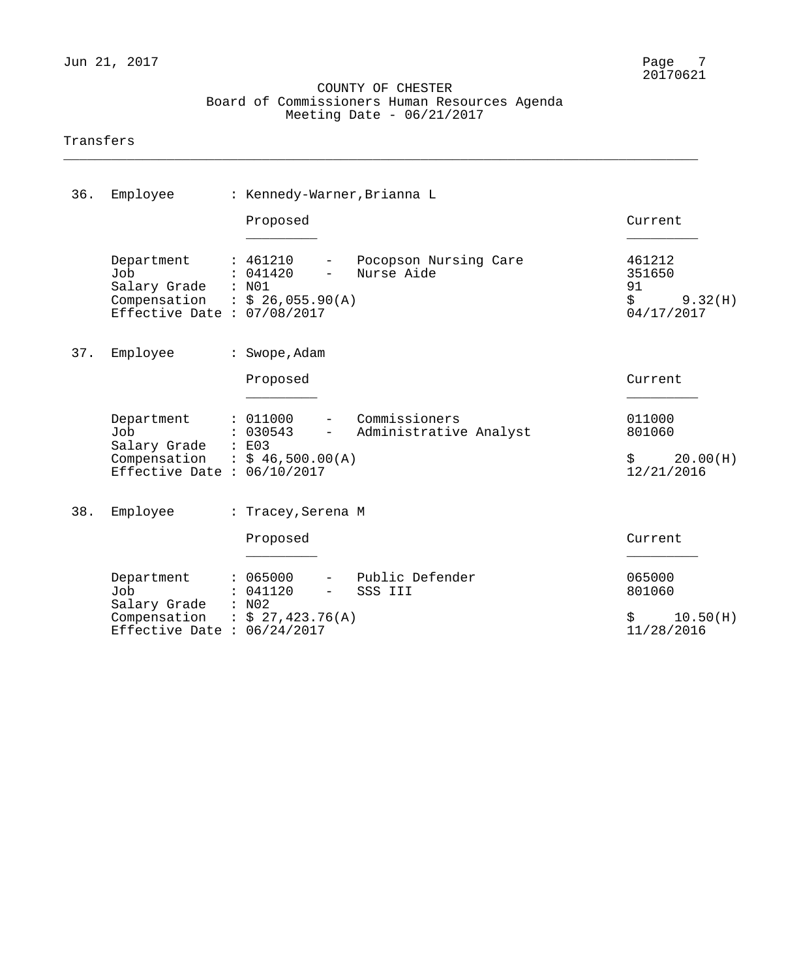\_\_\_\_\_\_\_\_\_\_\_\_\_\_\_\_\_\_\_\_\_\_\_\_\_\_\_\_\_\_\_\_\_\_\_\_\_\_\_\_\_\_\_\_\_\_\_\_\_\_\_\_\_\_\_\_\_\_\_\_\_\_\_\_\_\_\_\_\_\_\_\_\_\_\_\_\_\_\_\_

#### Transfers

| 36. | Employee                                                                                                    | : Kennedy-Warner, Brianna L                                    |                                           |                                                       |
|-----|-------------------------------------------------------------------------------------------------------------|----------------------------------------------------------------|-------------------------------------------|-------------------------------------------------------|
|     |                                                                                                             | Proposed                                                       |                                           | Current                                               |
|     | Department<br>Job<br>Salary Grade : N01<br>Compensation : $$26,055.90(A)$<br>Effective Date : $07/08/2017$  | : 461210<br>$-$ .<br>: 041420<br>$\equiv$                      | Pocopson Nursing Care<br>Nurse Aide       | 461212<br>351650<br>91<br>\$<br>9.32(H)<br>04/17/2017 |
| 37. | Employee                                                                                                    | : Swope, Adam                                                  |                                           |                                                       |
|     |                                                                                                             | Proposed                                                       |                                           | Current                                               |
|     | Department<br>Job<br>Salary Grade : E03<br>Compensation : $$ 46,500.00(A)$<br>Effective Date : $06/10/2017$ | : 011000<br>: 030543<br>$\frac{1}{2}$ and $\frac{1}{2}$        | - Commissioners<br>Administrative Analyst | 011000<br>801060<br>20.00(H)<br>\$.<br>12/21/2016     |
| 38. | Employee                                                                                                    | : Tracey, Serena M                                             |                                           |                                                       |
|     |                                                                                                             | Proposed                                                       |                                           | Current                                               |
|     | Department<br>Job<br>Salary Grade<br>Compensation<br>Effective Date : $06/24/2017$                          | : 065000<br>: 041120<br>: N02<br>$\frac{1}{2}$ \$ 27,423.76(A) | Public Defender<br>SSS III                | 065000<br>801060<br>\$<br>10.50(H)<br>11/28/2016      |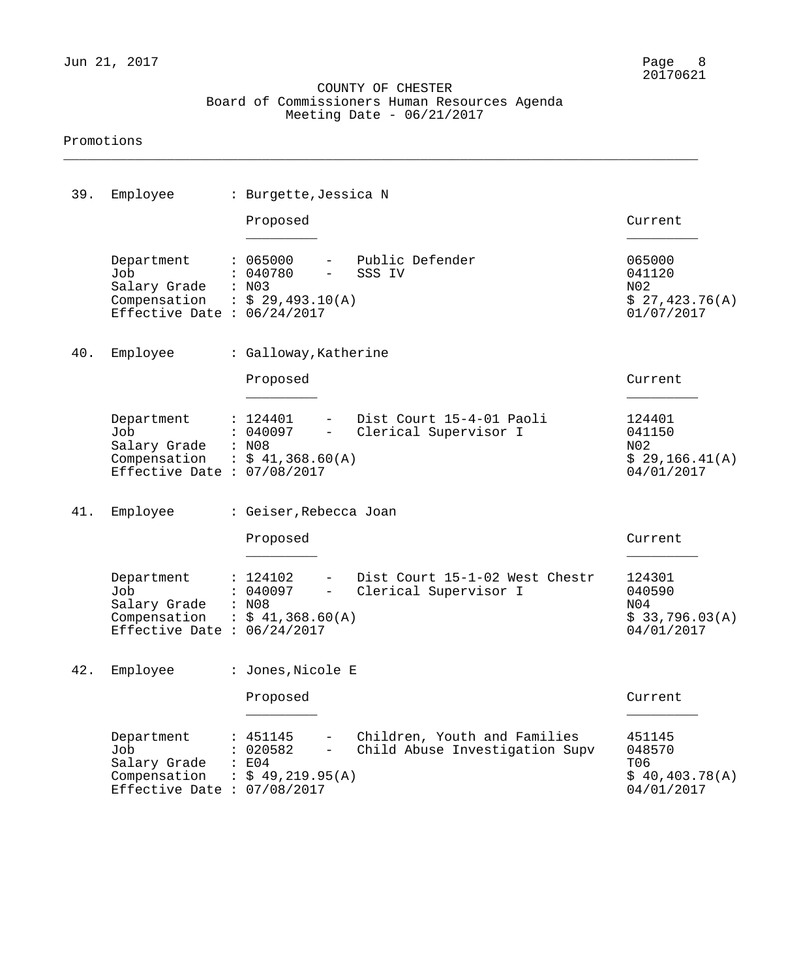\_\_\_\_\_\_\_\_\_\_\_\_\_\_\_\_\_\_\_\_\_\_\_\_\_\_\_\_\_\_\_\_\_\_\_\_\_\_\_\_\_\_\_\_\_\_\_\_\_\_\_\_\_\_\_\_\_\_\_\_\_\_\_\_\_\_\_\_\_\_\_\_\_\_\_\_\_\_\_\_

#### Promotions

| 39. | Employee                                                                                             | : Burgette, Jessica N                                                                                                                              |                                                                     |
|-----|------------------------------------------------------------------------------------------------------|----------------------------------------------------------------------------------------------------------------------------------------------------|---------------------------------------------------------------------|
|     |                                                                                                      | Proposed                                                                                                                                           | Current                                                             |
|     | Department<br>Job<br>Salary Grade<br>Compensation : $$29,493.10(A)$<br>Effective Date : $06/24/2017$ | Public Defender<br>: 065000<br>: 040780<br>SSS IV<br>$-$<br>: N03                                                                                  | 065000<br>041120<br>N02<br>\$27,423.76(A)<br>01/07/2017             |
| 40. | Employee                                                                                             | : Galloway, Katherine                                                                                                                              |                                                                     |
|     |                                                                                                      | Proposed                                                                                                                                           | Current                                                             |
|     | Department<br>Job<br>Salary Grade<br>Compensation : $$41,368.60(A)$<br>Effective Date : $07/08/2017$ | Dist Court 15-4-01 Paoli<br>: 124401<br>$ -$<br>Clerical Supervisor I<br>: 040097<br>$\frac{1}{2}$ and $\frac{1}{2}$<br>: N08                      | 124401<br>041150<br>N02<br>\$29,166.41(A)<br>04/01/2017             |
| 41. | Employee                                                                                             | : Geiser, Rebecca Joan                                                                                                                             |                                                                     |
|     |                                                                                                      | Proposed                                                                                                                                           | Current                                                             |
|     | Department<br>Job<br>Salary Grade<br>Compensation<br>Effective Date : $06/24/2017$                   | Dist Court 15-1-02 West Chestr<br>: 124102<br>$ -$<br>Clerical Supervisor I<br>: 040097<br>$\frac{1}{2}$<br>: N08<br>: $$41,368.60(A)$             | 124301<br>040590<br>N04<br>\$33,796.03(A)<br>04/01/2017             |
| 42. | Employee                                                                                             | : Jones, Nicole E                                                                                                                                  |                                                                     |
|     |                                                                                                      | Proposed                                                                                                                                           | Current                                                             |
|     | Department<br>Job<br>Salary Grade<br>Compensation<br>Effective Date : $07/08/2017$                   | Children, Youth and Families<br>: 451145<br>Child Abuse Investigation Supv<br>: 020582<br>$\overline{\phantom{0}}$<br>: E04<br>$:$ \$ 49,219.95(A) | 451145<br>048570<br>T <sub>06</sub><br>\$40,403.78(A)<br>04/01/2017 |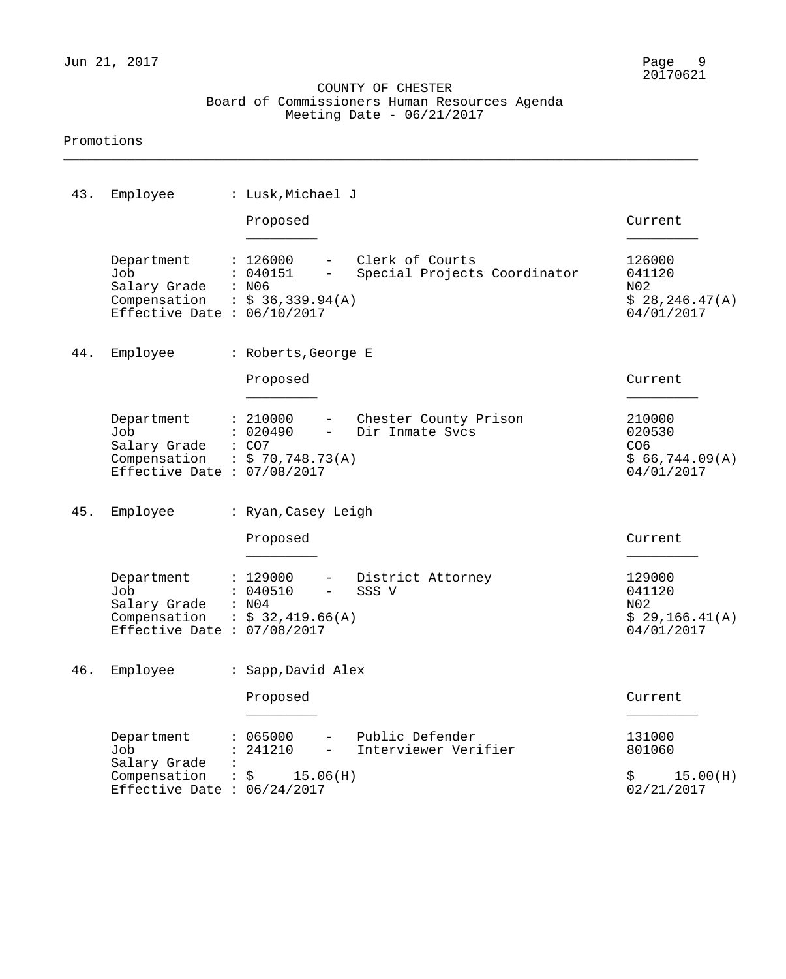\_\_\_\_\_\_\_\_\_\_\_\_\_\_\_\_\_\_\_\_\_\_\_\_\_\_\_\_\_\_\_\_\_\_\_\_\_\_\_\_\_\_\_\_\_\_\_\_\_\_\_\_\_\_\_\_\_\_\_\_\_\_\_\_\_\_\_\_\_\_\_\_\_\_\_\_\_\_\_\_

#### Promotions

| 43. | Employee                                                                                              | : Lusk, Michael J                                                                                |                                                   |                                                                     |
|-----|-------------------------------------------------------------------------------------------------------|--------------------------------------------------------------------------------------------------|---------------------------------------------------|---------------------------------------------------------------------|
|     |                                                                                                       | Proposed                                                                                         |                                                   | Current                                                             |
|     | Department<br>Job<br>Salary Grade<br>Compensation : $$36,339.94(A)$<br>Effective Date : $06/10/2017$  | : 126000<br>: 040151<br>$\frac{1}{2}$ and $\frac{1}{2}$<br>: N06                                 | - Clerk of Courts<br>Special Projects Coordinator | 126000<br>041120<br>N02<br>\$28, 246.47(A)<br>04/01/2017            |
| 44. | Employee                                                                                              | : Roberts, George E                                                                              |                                                   |                                                                     |
|     |                                                                                                       | Proposed                                                                                         |                                                   | Current                                                             |
|     | Department<br>Job<br>Salary Grade<br>Compensation : $$ 70,748.73(A)$<br>Effective Date : $07/08/2017$ | : 210000<br>: 020490<br>$\overline{\phantom{0}}$<br>: CO7                                        | - Chester County Prison<br>Dir Inmate Svcs        | 210000<br>020530<br>CO <sub>6</sub><br>\$66,744.09(A)<br>04/01/2017 |
| 45. | Employee                                                                                              | : Ryan, Casey Leigh                                                                              |                                                   |                                                                     |
|     |                                                                                                       | Proposed                                                                                         |                                                   | Current                                                             |
|     | Department<br>Job<br>Salary Grade<br>Compensation<br>Effective Date : $07/08/2017$                    | : 129000<br>$\overline{\phantom{a}}$<br>: 040510<br>$-$<br>: N04<br>$\therefore$ \$ 32,419.66(A) | District Attorney<br>SSS V                        | 129000<br>041120<br>N02<br>\$29,166.41(A)<br>04/01/2017             |
|     | 46. Employee                                                                                          | : Sapp, David Alex                                                                               |                                                   |                                                                     |
|     |                                                                                                       | Proposed                                                                                         |                                                   | Current                                                             |
|     | Department<br>Job                                                                                     | : 065000<br>$ -$<br>: 241210<br>$ -$                                                             | Public Defender<br>Interviewer Verifier           | 131000<br>801060                                                    |
|     | Salary Grade<br>Compensation : $\frac{15.06(H)}{}$<br>Effective Date : $06/24/2017$                   |                                                                                                  |                                                   | 15.00(H)<br>$\ddot{\mathbf{S}}$<br>02/21/2017                       |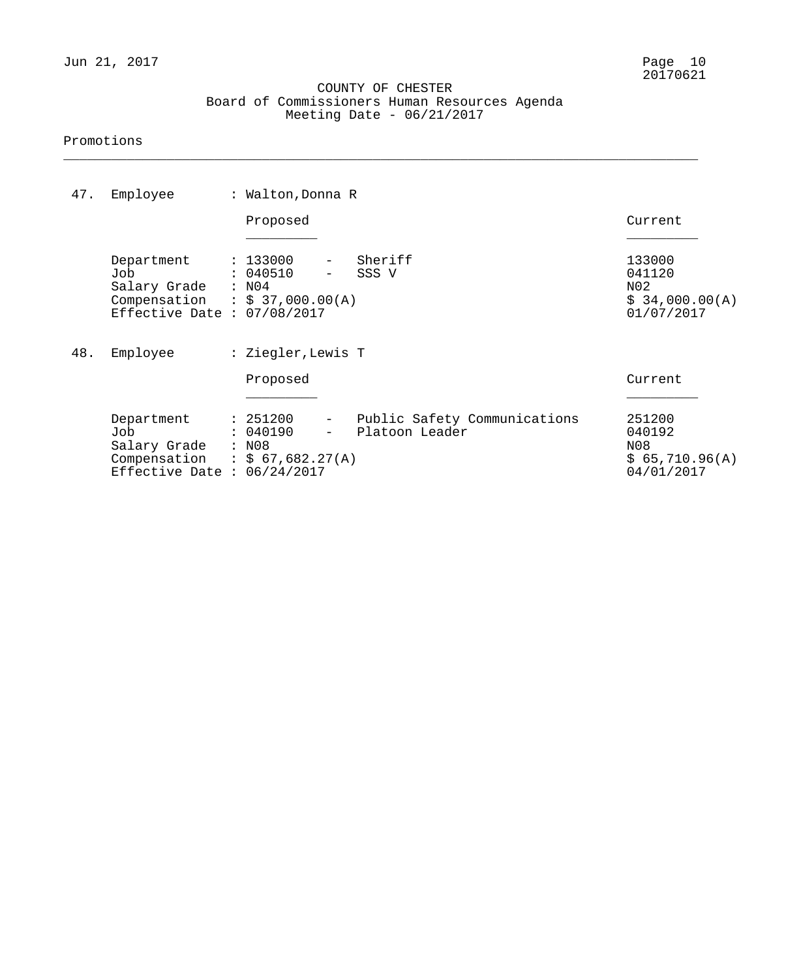\_\_\_\_\_\_\_\_\_\_\_\_\_\_\_\_\_\_\_\_\_\_\_\_\_\_\_\_\_\_\_\_\_\_\_\_\_\_\_\_\_\_\_\_\_\_\_\_\_\_\_\_\_\_\_\_\_\_\_\_\_\_\_\_\_\_\_\_\_\_\_\_\_\_\_\_\_\_\_\_

#### Promotions

| 47. | Employee                                                                                                    | : Walton, Donna R                                                                  |                                                |                                                         |
|-----|-------------------------------------------------------------------------------------------------------------|------------------------------------------------------------------------------------|------------------------------------------------|---------------------------------------------------------|
|     |                                                                                                             | Proposed                                                                           |                                                | Current                                                 |
|     | Department<br>Job<br>Salary Grade : N04<br>Compensation : $$ 37,000.00(A)$<br>Effective Date : $07/08/2017$ | : 133000<br>: 040510                                                               | Sheriff<br>SSS V                               | 133000<br>041120<br>N02<br>\$34,000.00(A)<br>01/07/2017 |
| 48. | Employee                                                                                                    | : Ziegler, Lewis T                                                                 |                                                |                                                         |
|     |                                                                                                             | Proposed                                                                           |                                                | Current                                                 |
|     | Department<br>Job<br>Salary Grade<br>Compensation : $$ 67,682.27(A)$<br>Effective Date : $06/24/2017$       | : 251200<br>$\frac{1}{2}$ and $\frac{1}{2}$<br>: 040190<br>$\overline{a}$<br>: N08 | Public Safety Communications<br>Platoon Leader | 251200<br>040192<br>N08<br>\$65,710.96(A)<br>04/01/2017 |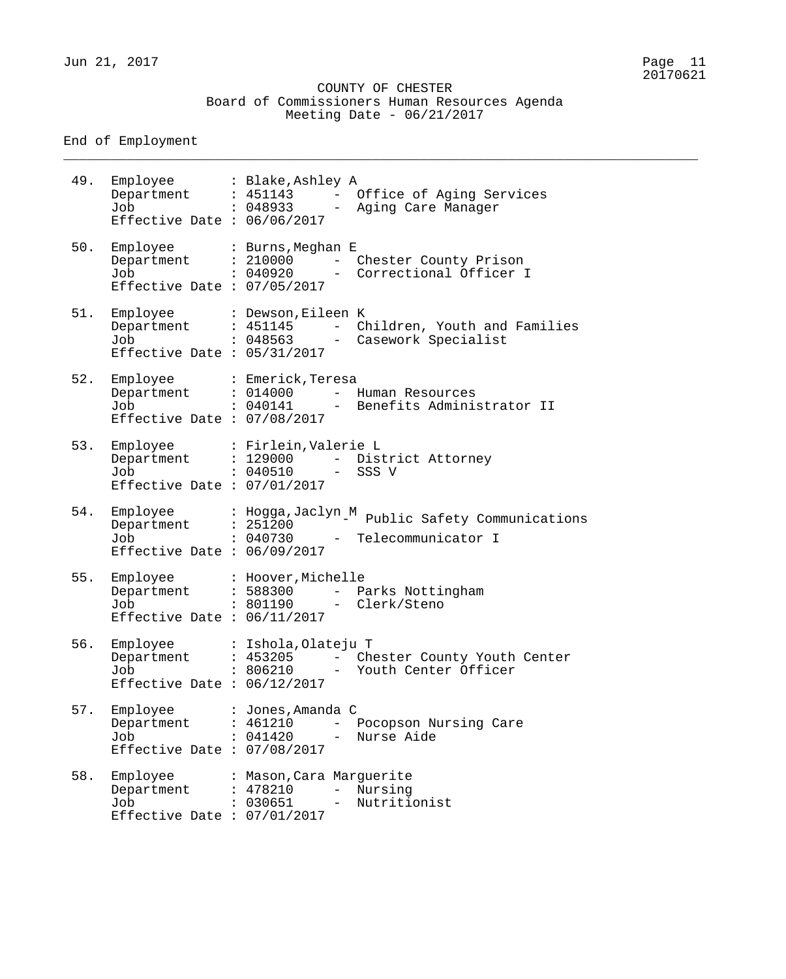COUNTY OF CHESTER Board of Commissioners Human Resources Agenda Meeting Date - 06/21/2017

\_\_\_\_\_\_\_\_\_\_\_\_\_\_\_\_\_\_\_\_\_\_\_\_\_\_\_\_\_\_\_\_\_\_\_\_\_\_\_\_\_\_\_\_\_\_\_\_\_\_\_\_\_\_\_\_\_\_\_\_\_\_\_\_\_\_\_\_\_\_\_\_\_\_\_\_\_\_\_\_

End of Employment

| 49. | Employee : Blake, Ashley A<br>Department : 451143<br>Job<br>Effective Date : $06/06/2017$       | : 048933                                         | $-$<br>$  \,$                               | Office of Aging Services<br>Aging Care Manager        |
|-----|-------------------------------------------------------------------------------------------------|--------------------------------------------------|---------------------------------------------|-------------------------------------------------------|
| 50. | Employee<br>Department : 210000<br>Job<br>Effective Date : $07/05/2017$                         | : Burns, Meghan E<br>: 040920                    | $\equiv$<br>$\frac{1}{2}$ and $\frac{1}{2}$ | Chester County Prison<br>Correctional Officer I       |
| 51. | Employee : Dewson, Eileen K<br>Department : 451145<br>Job<br>Effective Date : $05/31/2017$      | . 048563                                         | $\sim$                                      | - Children, Youth and Families<br>Casework Specialist |
| 52. | Employee : Emerick, Teresa<br>Department : 014000<br>Job<br>Effective Date : $07/08/2017$       | . 040141                                         | $\frac{1}{2}$ and $\frac{1}{2}$             | Human Resources<br>- Benefits Administrator II        |
| 53. | Employee : Firlein, Valerie L<br>Department : 129000<br>Job<br>Effective Date : $07/01/2017$    | : 040510                                         | $\frac{1}{2}$                               | - District Attorney<br>SSS V                          |
| 54. | Employee<br>Department : $25\overline{1}\overline{2}00$<br>Job<br>Effective Date : $06/09/2017$ | : Hogga, Jaclyn M<br>: 040730                    | $\frac{1}{2}$ and $\frac{1}{2}$             | Public Safety Communications<br>Telecommunicator I    |
| 55. | Employee<br>Department : 588300<br>Job : 801190<br>Effective Date : $06/11/2017$                | : Hoover, Michelle                               |                                             | - Parks Nottingham<br>- Clerk/Steno                   |
| 56. | Employee<br>Department<br>Job<br>Effective Date : $06/12/2017$                                  | : Ishola, Olateju T<br>: 453205<br>: 806210      |                                             | - Chester County Youth Center<br>Youth Center Officer |
| 57. | Employee<br>Department<br>Job<br>Effective Date : $07/08/2017$                                  | : Jones, Amanda C<br>: 461210<br>: 041420        |                                             | Pocopson Nursing Care<br>Nurse Aide                   |
| 58. | Employee<br>Department<br>Job<br>Effective Date : $07/01/2017$                                  | : Mason, Cara Marguerite<br>: 478210<br>: 030651 | $ \,$<br>$\qquad \qquad -$                  | Nursing<br>Nutritionist                               |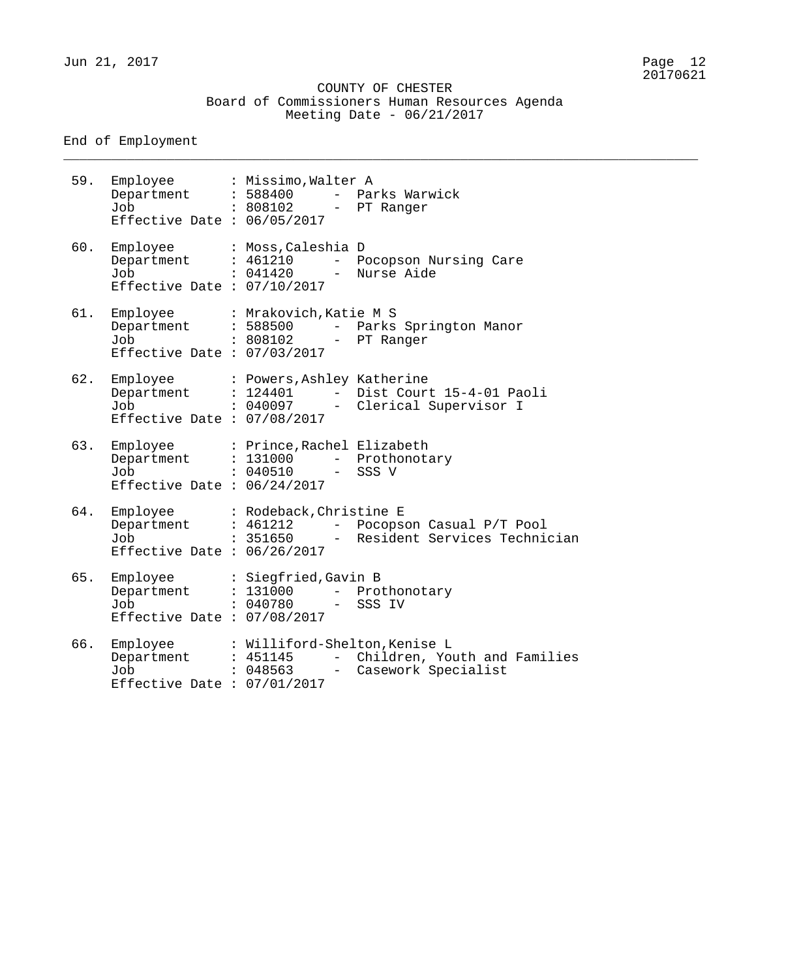Jun 21, 2017 Page 12

#### COUNTY OF CHESTER Board of Commissioners Human Resources Agenda Meeting Date - 06/21/2017

\_\_\_\_\_\_\_\_\_\_\_\_\_\_\_\_\_\_\_\_\_\_\_\_\_\_\_\_\_\_\_\_\_\_\_\_\_\_\_\_\_\_\_\_\_\_\_\_\_\_\_\_\_\_\_\_\_\_\_\_\_\_\_\_\_\_\_\_\_\_\_\_\_\_\_\_\_\_\_\_

End of Employment

59. Employee : Missimo,Walter A Department : 588400 - Parks Warwick Job : 808102 - PT Ranger Effective Date : 06/05/2017 60. Employee : Moss,Caleshia D Department : 461210 - Pocopson Nursing Care Job : 041420 - Nurse Aide Effective Date : 07/10/2017 61. Employee : Mrakovich,Katie M S Department : 588500 - Parks Springton Manor Job : 808102 - PT Ranger Effective Date : 07/03/2017 62. Employee : Powers,Ashley Katherine Department : 124401 - Dist Court 15-4-01 Paoli Job : 040097 - Clerical Supervisor I Effective Date : 07/08/2017 63. Employee : Prince,Rachel Elizabeth Department : 131000 - Prothonotary Job : 040510 - SSS V Effective Date : 06/24/2017 64. Employee : Rodeback,Christine E Department : 461212 - Pocopson Casual P/T Pool Job : 351650 - Resident Services Technician Effective Date : 06/26/2017 65. Employee : Siegfried,Gavin B Department : 131000 - Prothonotary Job : 040780 - SSS IV Effective Date : 07/08/2017 66. Employee : Williford-Shelton, Kenise L<br>Department : 451145 - Children, You Department : 451145 - Children, Youth and Families Job : 048563 - Casework Specialist Effective Date : 07/01/2017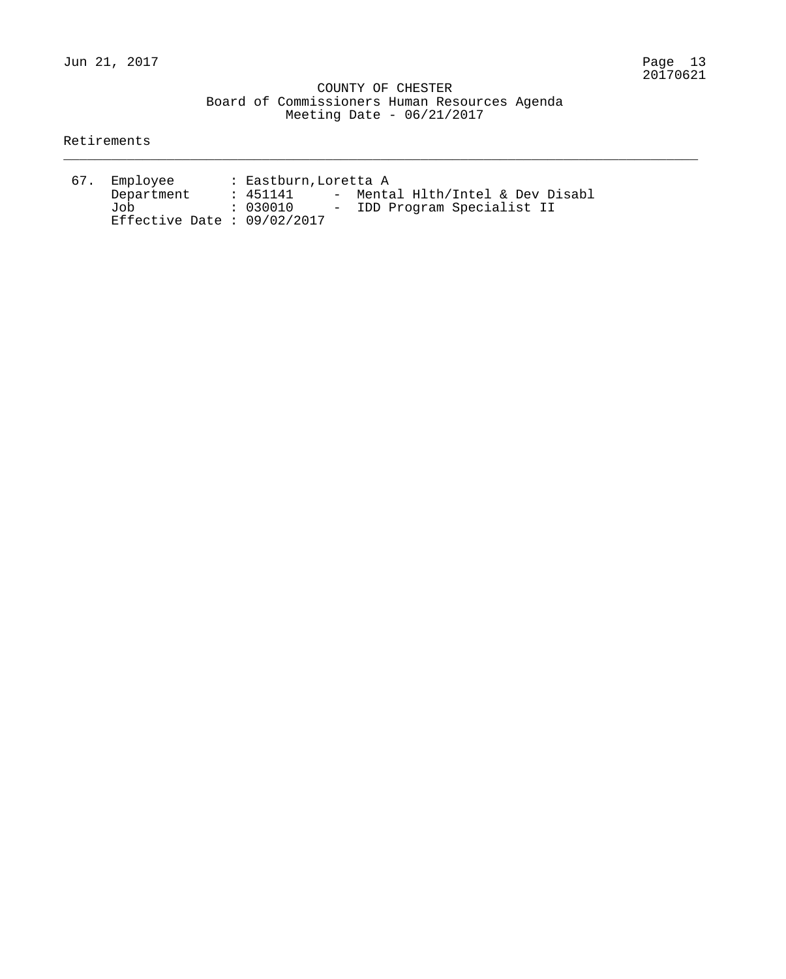\_\_\_\_\_\_\_\_\_\_\_\_\_\_\_\_\_\_\_\_\_\_\_\_\_\_\_\_\_\_\_\_\_\_\_\_\_\_\_\_\_\_\_\_\_\_\_\_\_\_\_\_\_\_\_\_\_\_\_\_\_\_\_\_\_\_\_\_\_\_\_\_\_\_\_\_\_\_\_\_

#### Retirements

| 67. | Employee                      | : Eastburn, Loretta A |  |                                  |  |  |  |  |  |  |
|-----|-------------------------------|-----------------------|--|----------------------------------|--|--|--|--|--|--|
|     | Department                    | : 451141              |  | - Mental Hlth/Intel & Dev Disabl |  |  |  |  |  |  |
|     | Job J                         | . 030010              |  | - IDD Program Specialist II      |  |  |  |  |  |  |
|     | Effective Date : $09/02/2017$ |                       |  |                                  |  |  |  |  |  |  |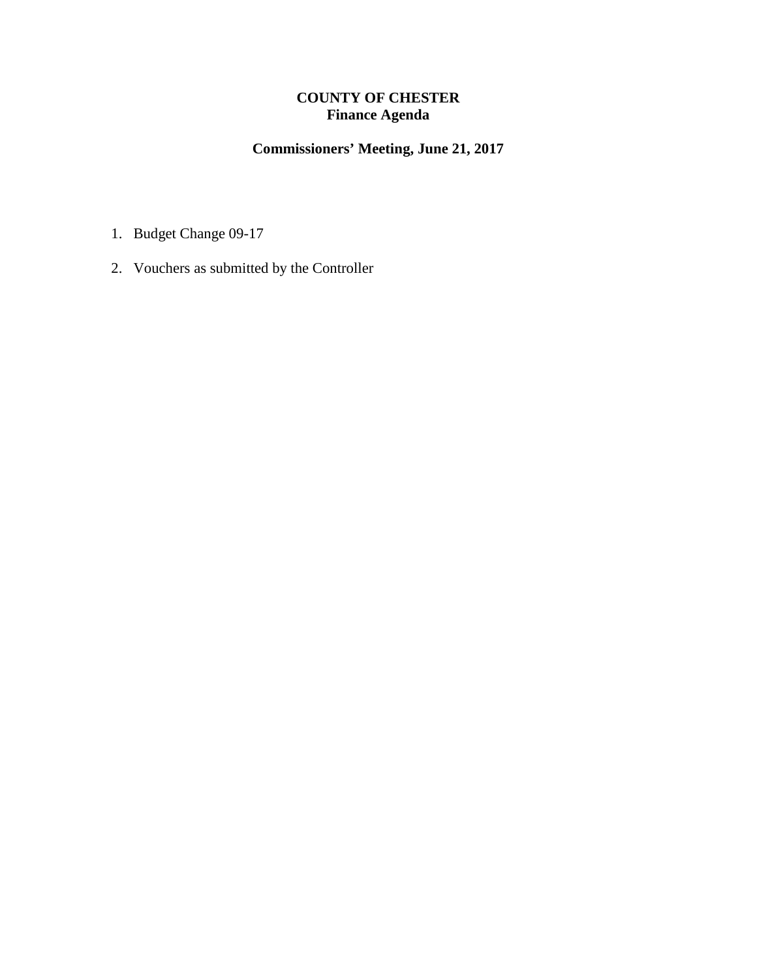### **COUNTY OF CHESTER Finance Agenda**

# **Commissioners' Meeting, June 21, 2017**

- 1. Budget Change 09-17
- 2. Vouchers as submitted by the Controller